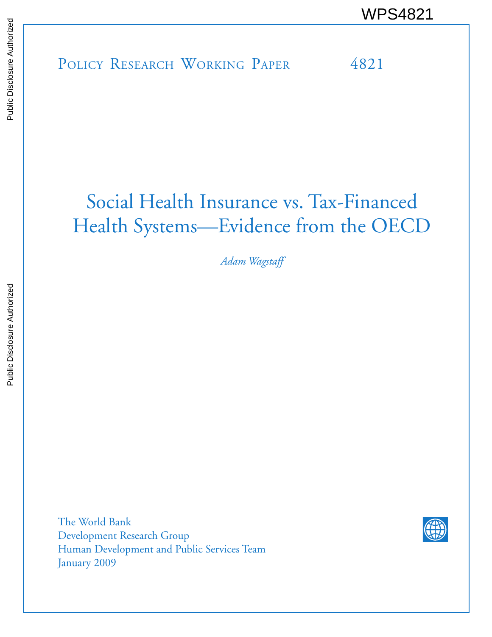POLICY RESEARCH WORKING PAPER 4821 WPS4821<br>
Media<br>
Media<br>
POLICY RESEARCH WORKING PAPER<br>
POLICY RESEARCH WORKING PAPER<br>
POLICY RESEARCH WORKING PAPER<br>
PAPER

# Social Health Insurance vs. Tax-Financed Health Systems—Evidence from the OECD

*Adam Wagstaff*

The World Bank Development Research Group Human Development and Public Services Team January 2009

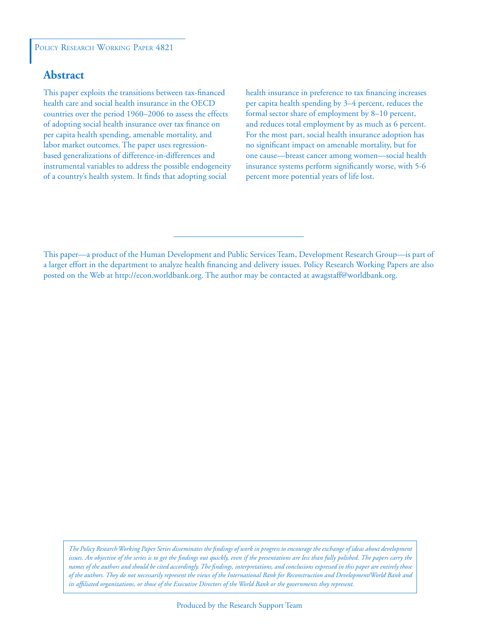# **Abstract**

This paper exploits the transitions between tax-financed health care and social health insurance in the OECD countries over the period 1960–2006 to assess the effects of adopting social health insurance over tax finance on per capita health spending, amenable mortality, and labor market outcomes. The paper uses regressionbased generalizations of difference-in-differences and instrumental variables to address the possible endogeneity of a country's health system. It finds that adopting social

health insurance in preference to tax financing increases per capita health spending by 3–4 percent, reduces the formal sector share of employment by 8–10 percent, and reduces total employment by as much as 6 percent. For the most part, social health insurance adoption has no significant impact on amenable mortality, but for one cause—breast cancer among women—social health insurance systems perform significantly worse, with 5-6 percent more potential years of life lost.

This paper—a product of the Human Development and Public Services Team, Development Research Group—is part of a larger effort in the department to analyze health financing and delivery issues. Policy Research Working Papers are also posted on the Web at http://econ.worldbank.org. The author may be contacted at awagstaff@worldbank.org.

*The Policy Research Working Paper Series disseminates the findings of work in progress to encourage the exchange of ideas about development*  issues. An objective of the series is to get the findings out quickly, even if the presentations are less than fully polished. The papers carry the *names of the authors and should be cited accordingly. The findings, interpretations, and conclusions expressed in this paper are entirely those of the authors. They do not necessarily represent the views of the International Bank for Reconstruction and Development/World Bank and its affiliated organizations, or those of the Executive Directors of the World Bank or the governments they represent.*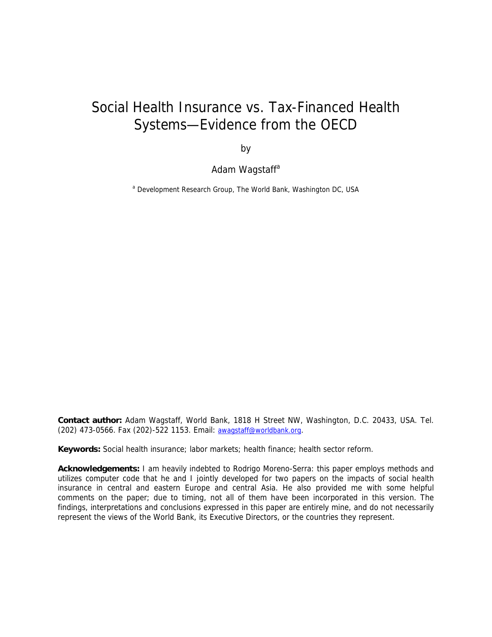# Social Health Insurance vs. Tax-Financed Health Systems—Evidence from the OECD

by

Adam Wagstaff<sup>a</sup>

<sup>a</sup> Development Research Group, The World Bank, Washington DC, USA

**Contact author:** Adam Wagstaff, World Bank, 1818 H Street NW, Washington, D.C. 20433, USA. Tel. (202) 473-0566. Fax (202)-522 1153. Email: [awagstaff@worldbank.org](mailto:awagstaff@worldbank.org).

**Keywords:** Social health insurance; labor markets; health finance; health sector reform.

**Acknowledgements:** I am heavily indebted to Rodrigo Moreno-Serra: this paper employs methods and utilizes computer code that he and I jointly developed for two papers on the impacts of social health insurance in central and eastern Europe and central Asia. He also provided me with some helpful comments on the paper; due to timing, not all of them have been incorporated in this version. The findings, interpretations and conclusions expressed in this paper are entirely mine, and do not necessarily represent the views of the World Bank, its Executive Directors, or the countries they represent.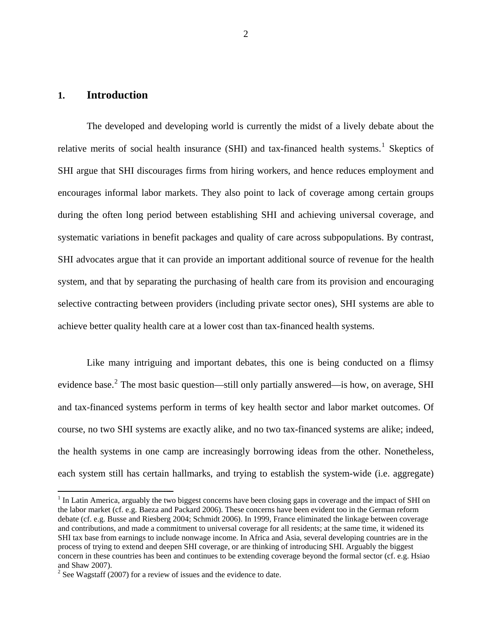## **1. Introduction**

 $\overline{a}$ 

The developed and developing world is currently the midst of a lively debate about the relative merits of social health insurance (SHI) and tax-financed health systems.<sup>[1](#page-3-0)</sup> Skeptics of SHI argue that SHI discourages firms from hiring workers, and hence reduces employment and encourages informal labor markets. They also point to lack of coverage among certain groups during the often long period between establishing SHI and achieving universal coverage, and systematic variations in benefit packages and quality of care across subpopulations. By contrast, SHI advocates argue that it can provide an important additional source of revenue for the health system, and that by separating the purchasing of health care from its provision and encouraging selective contracting between providers (including private sector ones), SHI systems are able to achieve better quality health care at a lower cost than tax-financed health systems.

Like many intriguing and important debates, this one is being conducted on a flimsy evidence base.<sup>[2](#page-3-1)</sup> The most basic question—still only partially answered—is how, on average, SHI and tax-financed systems perform in terms of key health sector and labor market outcomes. Of course, no two SHI systems are exactly alike, and no two tax-financed systems are alike; indeed, the health systems in one camp are increasingly borrowing ideas from the other. Nonetheless, each system still has certain hallmarks, and trying to establish the system-wide (i.e. aggregate)

 $1$  In Latin America, arguably the two biggest concerns have been closing gaps in coverage and the impact of SHI on the labor market (cf. e.g. Baeza and Packard 2006). These concerns have been evident too in the German reform debate (cf. e.g. Busse and Riesberg 2004; Schmidt 2006). In 1999, France eliminated the linkage between coverage and contributions, and made a commitment to universal coverage for all residents; at the same time, it widened its SHI tax base from earnings to include nonwage income. In Africa and Asia, several developing countries are in the process of trying to extend and deepen SHI coverage, or are thinking of introducing SHI. Arguably the biggest concern in these countries has been and continues to be extending coverage beyond the formal sector (cf. e.g. Hsiao and Shaw 2007).

<span id="page-3-1"></span><span id="page-3-0"></span><sup>&</sup>lt;sup>2</sup> See Wagstaff (2007) for a review of issues and the evidence to date.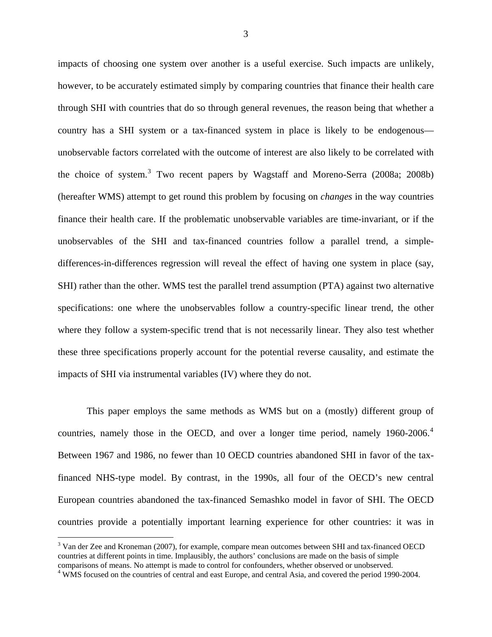impacts of choosing one system over another is a useful exercise. Such impacts are unlikely, however, to be accurately estimated simply by comparing countries that finance their health care through SHI with countries that do so through general revenues, the reason being that whether a country has a SHI system or a tax-financed system in place is likely to be endogenous unobservable factors correlated with the outcome of interest are also likely to be correlated with the choice of system.<sup>[3](#page-4-0)</sup> Two recent papers by Wagstaff and Moreno-Serra (2008a; 2008b) (hereafter WMS) attempt to get round this problem by focusing on *changes* in the way countries finance their health care. If the problematic unobservable variables are time-invariant, or if the unobservables of the SHI and tax-financed countries follow a parallel trend, a simpledifferences-in-differences regression will reveal the effect of having one system in place (say, SHI) rather than the other. WMS test the parallel trend assumption (PTA) against two alternative specifications: one where the unobservables follow a country-specific linear trend, the other where they follow a system-specific trend that is not necessarily linear. They also test whether these three specifications properly account for the potential reverse causality, and estimate the impacts of SHI via instrumental variables (IV) where they do not.

This paper employs the same methods as WMS but on a (mostly) different group of countries, namely those in the OECD, and over a longer time period, namely 1960-2006.<sup>[4](#page-4-1)</sup> Between 1967 and 1986, no fewer than 10 OECD countries abandoned SHI in favor of the taxfinanced NHS-type model. By contrast, in the 1990s, all four of the OECD's new central European countries abandoned the tax-financed Semashko model in favor of SHI. The OECD countries provide a potentially important learning experience for other countries: it was in

<u>.</u>

<span id="page-4-0"></span><sup>&</sup>lt;sup>3</sup> Van der Zee and Kroneman (2007), for example, compare mean outcomes between SHI and tax-financed OECD countries at different points in time. Implausibly, the authors' conclusions are made on the basis of simple comparisons of means. No attempt is made to control for confounders, whether observed or unobserved.

<span id="page-4-1"></span><sup>&</sup>lt;sup>4</sup> WMS focused on the countries of central and east Europe, and central Asia, and covered the period 1990-2004.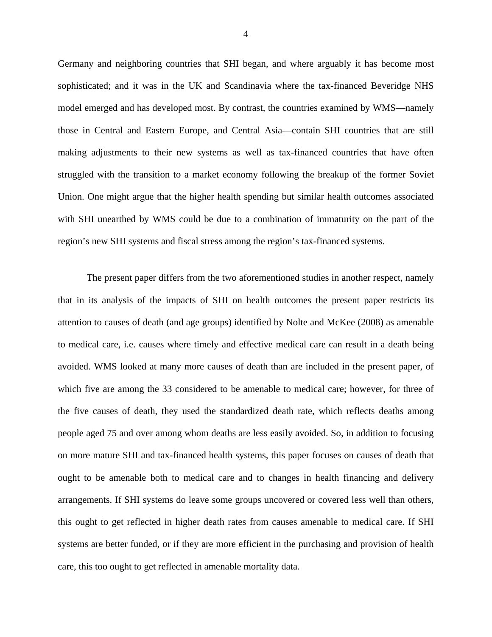Germany and neighboring countries that SHI began, and where arguably it has become most sophisticated; and it was in the UK and Scandinavia where the tax-financed Beveridge NHS model emerged and has developed most. By contrast, the countries examined by WMS—namely those in Central and Eastern Europe, and Central Asia—contain SHI countries that are still making adjustments to their new systems as well as tax-financed countries that have often struggled with the transition to a market economy following the breakup of the former Soviet Union. One might argue that the higher health spending but similar health outcomes associated with SHI unearthed by WMS could be due to a combination of immaturity on the part of the region's new SHI systems and fiscal stress among the region's tax-financed systems.

The present paper differs from the two aforementioned studies in another respect, namely that in its analysis of the impacts of SHI on health outcomes the present paper restricts its attention to causes of death (and age groups) identified by Nolte and McKee (2008) as amenable to medical care, i.e. causes where timely and effective medical care can result in a death being avoided. WMS looked at many more causes of death than are included in the present paper, of which five are among the 33 considered to be amenable to medical care; however, for three of the five causes of death, they used the standardized death rate, which reflects deaths among people aged 75 and over among whom deaths are less easily avoided. So, in addition to focusing on more mature SHI and tax-financed health systems, this paper focuses on causes of death that ought to be amenable both to medical care and to changes in health financing and delivery arrangements. If SHI systems do leave some groups uncovered or covered less well than others, this ought to get reflected in higher death rates from causes amenable to medical care. If SHI systems are better funded, or if they are more efficient in the purchasing and provision of health care, this too ought to get reflected in amenable mortality data.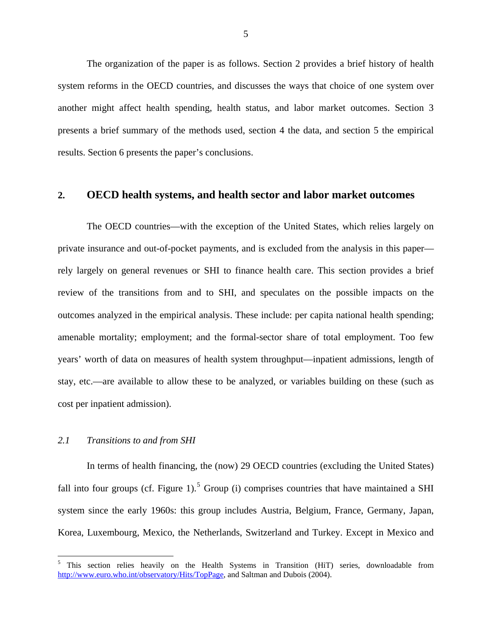<span id="page-6-1"></span>The organization of the paper is as follows. Section [2](#page-6-0) provides a brief history of health system reforms in the OECD countries, and discusses the ways that choice of one system over another might affect health spending, health status, and labor market outcomes. Section [3](#page-14-0) presents a brief summary of the methods used, section [4](#page-19-0) the data, and section [5](#page-22-0) the empirical results. Section [6](#page-26-0) presents the paper's conclusions.

### <span id="page-6-0"></span>**2. OECD health systems, and health sector and labor market outcomes**

The OECD countries—with the exception of the United States, which relies largely on private insurance and out-of-pocket payments, and is excluded from the analysis in this paper rely largely on general revenues or SHI to finance health care. This section provides a brief review of the transitions from and to SHI, and speculates on the possible impacts on the outcomes analyzed in the empirical analysis. These include: per capita national health spending; amenable mortality; employment; and the formal-sector share of total employment. Too few years' worth of data on measures of health system throughput—inpatient admissions, length of stay, etc.—are available to allow these to be analyzed, or variables building on these (such as cost per inpatient admission).

#### *2.1 Transitions to and from SHI*

In terms of health financing, the (now) 29 OECD countries (excluding the United States) fall into four groups (cf. [Figure 1\)](#page-31-0).<sup>[5](#page-6-1)</sup> Group (i) comprises countries that have maintained a SHI system since the early 1960s: this group includes Austria, Belgium, France, Germany, Japan, Korea, Luxembourg, Mexico, the Netherlands, Switzerland and Turkey. Except in Mexico and

 5 This section relies heavily on the Health Systems in Transition (HiT) series, downloadable from <http://www.euro.who.int/observatory/Hits/TopPage>, and Saltman and Dubois (2004).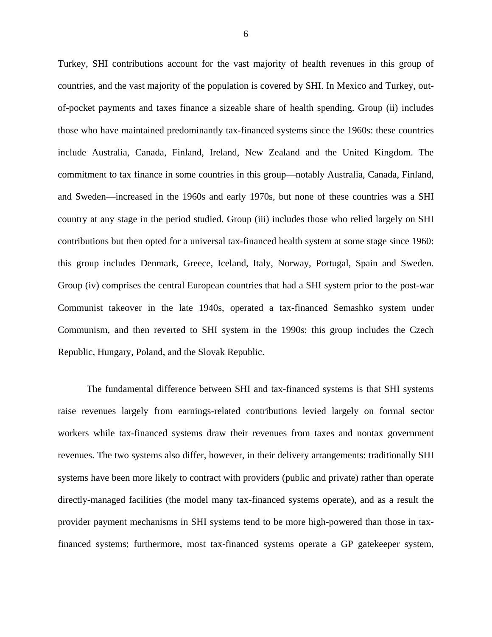Turkey, SHI contributions account for the vast majority of health revenues in this group of countries, and the vast majority of the population is covered by SHI. In Mexico and Turkey, outof-pocket payments and taxes finance a sizeable share of health spending. Group (ii) includes those who have maintained predominantly tax-financed systems since the 1960s: these countries include Australia, Canada, Finland, Ireland, New Zealand and the United Kingdom. The commitment to tax finance in some countries in this group—notably Australia, Canada, Finland, and Sweden—increased in the 1960s and early 1970s, but none of these countries was a SHI country at any stage in the period studied. Group (iii) includes those who relied largely on SHI contributions but then opted for a universal tax-financed health system at some stage since 1960: this group includes Denmark, Greece, Iceland, Italy, Norway, Portugal, Spain and Sweden. Group (iv) comprises the central European countries that had a SHI system prior to the post-war Communist takeover in the late 1940s, operated a tax-financed Semashko system under Communism, and then reverted to SHI system in the 1990s: this group includes the Czech Republic, Hungary, Poland, and the Slovak Republic.

The fundamental difference between SHI and tax-financed systems is that SHI systems raise revenues largely from earnings-related contributions levied largely on formal sector workers while tax-financed systems draw their revenues from taxes and nontax government revenues. The two systems also differ, however, in their delivery arrangements: traditionally SHI systems have been more likely to contract with providers (public and private) rather than operate directly-managed facilities (the model many tax-financed systems operate), and as a result the provider payment mechanisms in SHI systems tend to be more high-powered than those in taxfinanced systems; furthermore, most tax-financed systems operate a GP gatekeeper system,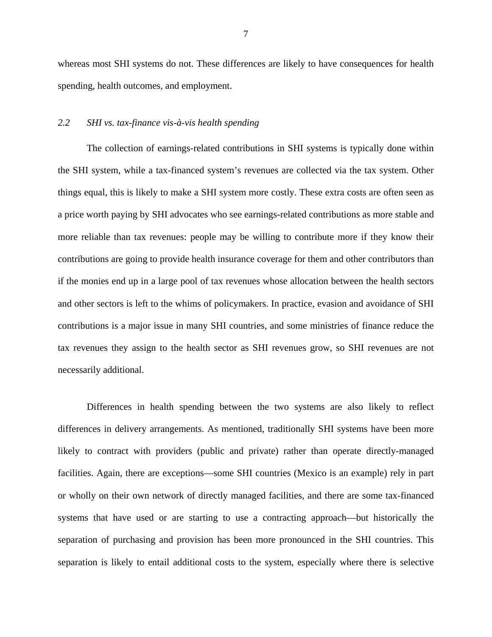whereas most SHI systems do not. These differences are likely to have consequences for health spending, health outcomes, and employment.

#### *2.2 SHI vs. tax-finance vis-à-vis health spending*

The collection of earnings-related contributions in SHI systems is typically done within the SHI system, while a tax-financed system's revenues are collected via the tax system. Other things equal, this is likely to make a SHI system more costly. These extra costs are often seen as a price worth paying by SHI advocates who see earnings-related contributions as more stable and more reliable than tax revenues: people may be willing to contribute more if they know their contributions are going to provide health insurance coverage for them and other contributors than if the monies end up in a large pool of tax revenues whose allocation between the health sectors and other sectors is left to the whims of policymakers. In practice, evasion and avoidance of SHI contributions is a major issue in many SHI countries, and some ministries of finance reduce the tax revenues they assign to the health sector as SHI revenues grow, so SHI revenues are not necessarily additional.

Differences in health spending between the two systems are also likely to reflect differences in delivery arrangements. As mentioned, traditionally SHI systems have been more likely to contract with providers (public and private) rather than operate directly-managed facilities. Again, there are exceptions—some SHI countries (Mexico is an example) rely in part or wholly on their own network of directly managed facilities, and there are some tax-financed systems that have used or are starting to use a contracting approach—but historically the separation of purchasing and provision has been more pronounced in the SHI countries. This separation is likely to entail additional costs to the system, especially where there is selective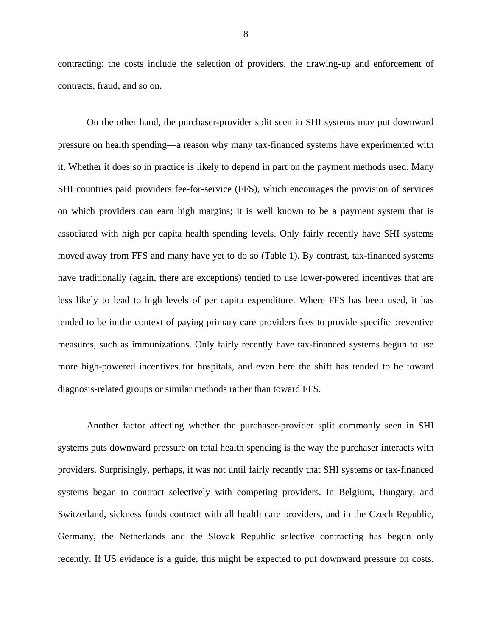contracting: the costs include the selection of providers, the drawing-up and enforcement of contracts, fraud, and so on.

On the other hand, the purchaser-provider split seen in SHI systems may put downward pressure on health spending—a reason why many tax-financed systems have experimented with it. Whether it does so in practice is likely to depend in part on the payment methods used. Many SHI countries paid providers fee-for-service (FFS), which encourages the provision of services on which providers can earn high margins; it is well known to be a payment system that is associated with high per capita health spending levels. Only fairly recently have SHI systems moved away from FFS and many have yet to do so [\(Table 1](#page-32-0)). By contrast, tax-financed systems have traditionally (again, there are exceptions) tended to use lower-powered incentives that are less likely to lead to high levels of per capita expenditure. Where FFS has been used, it has tended to be in the context of paying primary care providers fees to provide specific preventive measures, such as immunizations. Only fairly recently have tax-financed systems begun to use more high-powered incentives for hospitals, and even here the shift has tended to be toward diagnosis-related groups or similar methods rather than toward FFS.

Another factor affecting whether the purchaser-provider split commonly seen in SHI systems puts downward pressure on total health spending is the way the purchaser interacts with providers. Surprisingly, perhaps, it was not until fairly recently that SHI systems or tax-financed systems began to contract selectively with competing providers. In Belgium, Hungary, and Switzerland, sickness funds contract with all health care providers, and in the Czech Republic, Germany, the Netherlands and the Slovak Republic selective contracting has begun only recently. If US evidence is a guide, this might be expected to put downward pressure on costs.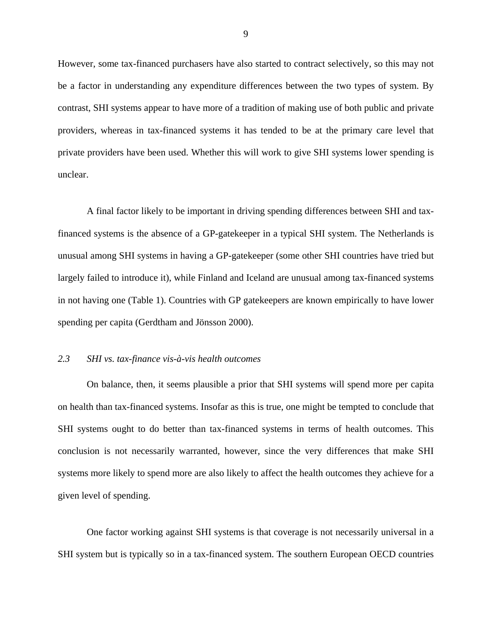However, some tax-financed purchasers have also started to contract selectively, so this may not be a factor in understanding any expenditure differences between the two types of system. By contrast, SHI systems appear to have more of a tradition of making use of both public and private providers, whereas in tax-financed systems it has tended to be at the primary care level that private providers have been used. Whether this will work to give SHI systems lower spending is unclear.

A final factor likely to be important in driving spending differences between SHI and taxfinanced systems is the absence of a GP-gatekeeper in a typical SHI system. The Netherlands is unusual among SHI systems in having a GP-gatekeeper (some other SHI countries have tried but largely failed to introduce it), while Finland and Iceland are unusual among tax-financed systems in not having one [\(Table 1\)](#page-32-0). Countries with GP gatekeepers are known empirically to have lower spending per capita (Gerdtham and Jönsson 2000).

#### *2.3 SHI vs. tax-finance vis-à-vis health outcomes*

On balance, then, it seems plausible a prior that SHI systems will spend more per capita on health than tax-financed systems. Insofar as this is true, one might be tempted to conclude that SHI systems ought to do better than tax-financed systems in terms of health outcomes. This conclusion is not necessarily warranted, however, since the very differences that make SHI systems more likely to spend more are also likely to affect the health outcomes they achieve for a given level of spending.

One factor working against SHI systems is that coverage is not necessarily universal in a SHI system but is typically so in a tax-financed system. The southern European OECD countries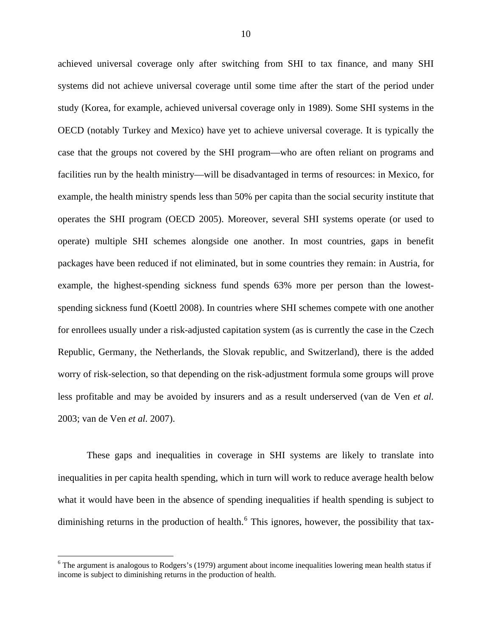<span id="page-11-0"></span>achieved universal coverage only after switching from SHI to tax finance, and many SHI systems did not achieve universal coverage until some time after the start of the period under study (Korea, for example, achieved universal coverage only in 1989). Some SHI systems in the OECD (notably Turkey and Mexico) have yet to achieve universal coverage. It is typically the case that the groups not covered by the SHI program—who are often reliant on programs and facilities run by the health ministry—will be disadvantaged in terms of resources: in Mexico, for example, the health ministry spends less than 50% per capita than the social security institute that operates the SHI program (OECD 2005). Moreover, several SHI systems operate (or used to operate) multiple SHI schemes alongside one another. In most countries, gaps in benefit packages have been reduced if not eliminated, but in some countries they remain: in Austria, for example, the highest-spending sickness fund spends 63% more per person than the lowestspending sickness fund (Koettl 2008). In countries where SHI schemes compete with one another for enrollees usually under a risk-adjusted capitation system (as is currently the case in the Czech Republic, Germany, the Netherlands, the Slovak republic, and Switzerland), there is the added worry of risk-selection, so that depending on the risk-adjustment formula some groups will prove less profitable and may be avoided by insurers and as a result underserved (van de Ven *et al.* 2003; van de Ven *et al.* 2007).

These gaps and inequalities in coverage in SHI systems are likely to translate into inequalities in per capita health spending, which in turn will work to reduce average health below what it would have been in the absence of spending inequalities if health spending is subject to diminishing returns in the production of health.<sup>[6](#page-11-0)</sup> This ignores, however, the possibility that tax-

<sup>&</sup>lt;sup>6</sup> The argument is analogous to Rodgers's (1979) argument about income inequalities lowering mean health status if income is subject to diminishing returns in the production of health.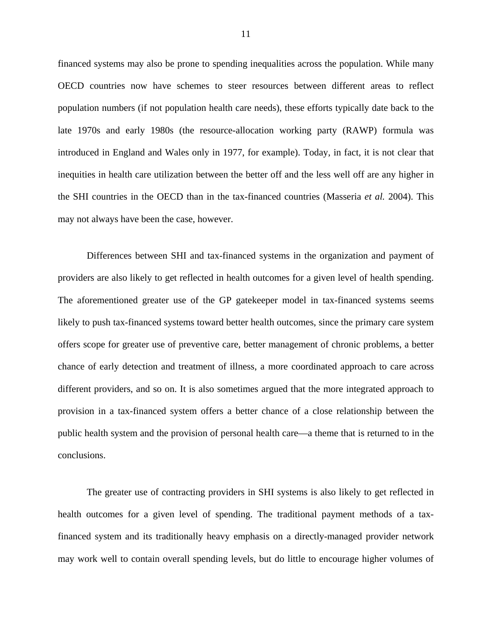financed systems may also be prone to spending inequalities across the population. While many OECD countries now have schemes to steer resources between different areas to reflect population numbers (if not population health care needs), these efforts typically date back to the late 1970s and early 1980s (the resource-allocation working party (RAWP) formula was introduced in England and Wales only in 1977, for example). Today, in fact, it is not clear that inequities in health care utilization between the better off and the less well off are any higher in the SHI countries in the OECD than in the tax-financed countries (Masseria *et al.* 2004). This may not always have been the case, however.

Differences between SHI and tax-financed systems in the organization and payment of providers are also likely to get reflected in health outcomes for a given level of health spending. The aforementioned greater use of the GP gatekeeper model in tax-financed systems seems likely to push tax-financed systems toward better health outcomes, since the primary care system offers scope for greater use of preventive care, better management of chronic problems, a better chance of early detection and treatment of illness, a more coordinated approach to care across different providers, and so on. It is also sometimes argued that the more integrated approach to provision in a tax-financed system offers a better chance of a close relationship between the public health system and the provision of personal health care—a theme that is returned to in the conclusions.

The greater use of contracting providers in SHI systems is also likely to get reflected in health outcomes for a given level of spending. The traditional payment methods of a taxfinanced system and its traditionally heavy emphasis on a directly-managed provider network may work well to contain overall spending levels, but do little to encourage higher volumes of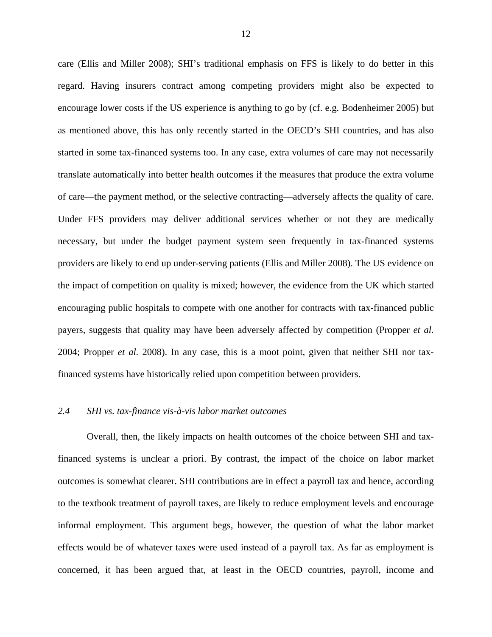care (Ellis and Miller 2008); SHI's traditional emphasis on FFS is likely to do better in this regard. Having insurers contract among competing providers might also be expected to encourage lower costs if the US experience is anything to go by (cf. e.g. Bodenheimer 2005) but as mentioned above, this has only recently started in the OECD's SHI countries, and has also started in some tax-financed systems too. In any case, extra volumes of care may not necessarily translate automatically into better health outcomes if the measures that produce the extra volume of care—the payment method, or the selective contracting—adversely affects the quality of care. Under FFS providers may deliver additional services whether or not they are medically necessary, but under the budget payment system seen frequently in tax-financed systems providers are likely to end up under-serving patients (Ellis and Miller 2008). The US evidence on the impact of competition on quality is mixed; however, the evidence from the UK which started encouraging public hospitals to compete with one another for contracts with tax-financed public payers, suggests that quality may have been adversely affected by competition (Propper *et al.* 2004; Propper *et al.* 2008). In any case, this is a moot point, given that neither SHI nor taxfinanced systems have historically relied upon competition between providers.

#### *2.4 SHI vs. tax-finance vis-à-vis labor market outcomes*

Overall, then, the likely impacts on health outcomes of the choice between SHI and taxfinanced systems is unclear a priori. By contrast, the impact of the choice on labor market outcomes is somewhat clearer. SHI contributions are in effect a payroll tax and hence, according to the textbook treatment of payroll taxes, are likely to reduce employment levels and encourage informal employment. This argument begs, however, the question of what the labor market effects would be of whatever taxes were used instead of a payroll tax. As far as employment is concerned, it has been argued that, at least in the OECD countries, payroll, income and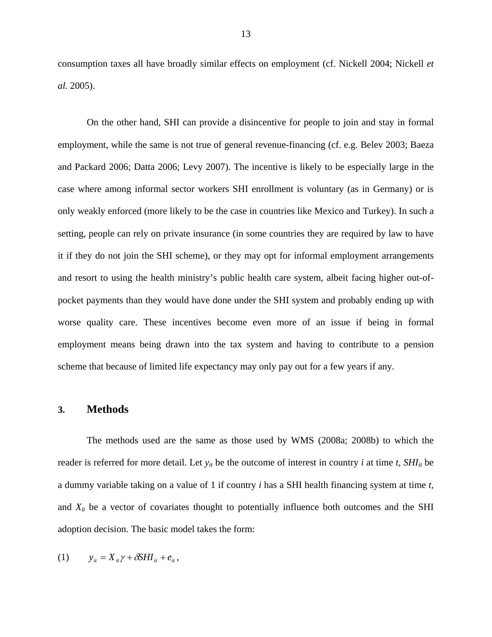consumption taxes all have broadly similar effects on employment (cf. Nickell 2004; Nickell *et al.* 2005).

On the other hand, SHI can provide a disincentive for people to join and stay in formal employment, while the same is not true of general revenue-financing (cf. e.g. Belev 2003; Baeza and Packard 2006; Datta 2006; Levy 2007). The incentive is likely to be especially large in the case where among informal sector workers SHI enrollment is voluntary (as in Germany) or is only weakly enforced (more likely to be the case in countries like Mexico and Turkey). In such a setting, people can rely on private insurance (in some countries they are required by law to have it if they do not join the SHI scheme), or they may opt for informal employment arrangements and resort to using the health ministry's public health care system, albeit facing higher out-ofpocket payments than they would have done under the SHI system and probably ending up with worse quality care. These incentives become even more of an issue if being in formal employment means being drawn into the tax system and having to contribute to a pension scheme that because of limited life expectancy may only pay out for a few years if any.

#### <span id="page-14-0"></span>**3. Methods**

The methods used are the same as those used by WMS (2008a; 2008b) to which the reader is referred for more detail. Let  $y_{it}$  be the outcome of interest in country *i* at time *t*,  $SHI_{it}$  be a dummy variable taking on a value of 1 if country *i* has a SHI health financing system at time *t*, and  $X_{it}$  be a vector of covariates thought to potentially influence both outcomes and the SHI adoption decision. The basic model takes the form:

<span id="page-14-1"></span>
$$
(1) \t y_{it} = X_{it}\gamma + \delta S H I_{it} + e_{it},
$$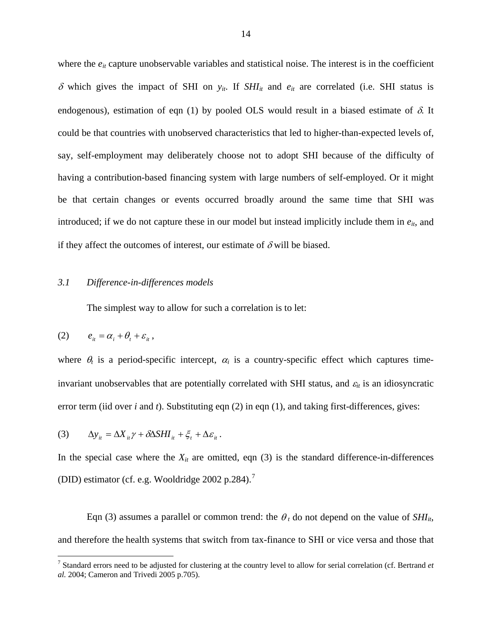<span id="page-15-1"></span>where the  $e_{it}$  capture unobservable variables and statistical noise. The interest is in the coefficient  $\delta$  which gives the impact of SHI on  $y_{it}$ . If  $SHI_{it}$  and  $e_{it}$  are correlated (i.e. SHI status is endogenous), estimation of eqn [\(1\)](#page-14-1) by pooled OLS would result in a biased estimate of  $\delta$ . It could be that countries with unobserved characteristics that led to higher-than-expected levels of, say, self-employment may deliberately choose not to adopt SHI because of the difficulty of having a contribution-based financing system with large numbers of self-employed. Or it might be that certain changes or events occurred broadly around the same time that SHI was introduced; if we do not capture these in our model but instead implicitly include them in  $e_{it}$ , and if they affect the outcomes of interest, our estimate of  $\delta$  will be biased.

#### *3.1 Difference-in-differences models*

The simplest way to allow for such a correlation is to let:

<span id="page-15-0"></span>
$$
(2) \qquad e_{it} = \alpha_i + \theta_t + \varepsilon_{it} \,,
$$

 $\overline{a}$ 

where  $\theta_t$  is a period-specific intercept,  $\alpha_i$  is a country-specific effect which captures timeinvariant unobservables that are potentially correlated with SHI status, and  $\varepsilon_{it}$  is an idiosyncratic error term (iid over *i* and *t*). Substituting eqn [\(2\)](#page-15-0) in eqn [\(1](#page-14-1)), and taking first-differences, gives:

<span id="page-15-2"></span>(3) 
$$
\Delta y_{it} = \Delta X_{it} \gamma + \delta \Delta S H I_{it} + \xi_t + \Delta \varepsilon_{it}.
$$

In the special case where the  $X_{it}$  are omitted, eqn [\(3\)](#page-15-2) is the standard difference-in-differences (DID) estimator (cf. e.g. Wooldridge 2002 p.284).<sup>[7](#page-15-1)</sup>

Eqn [\(3\)](#page-15-2) assumes a parallel or common trend: the  $\theta_t$  do not depend on the value of *SHI*<sub>it</sub>, and therefore the health systems that switch from tax-finance to SHI or vice versa and those that

<sup>7</sup> Standard errors need to be adjusted for clustering at the country level to allow for serial correlation (cf. Bertrand *et al.* 2004; Cameron and Trivedi 2005 p.705).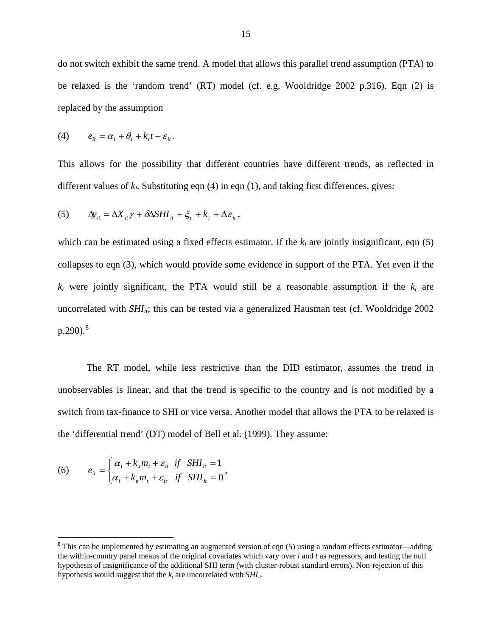<span id="page-16-1"></span>do not switch exhibit the same trend. A model that allows this parallel trend assumption (PTA) to be relaxed is the 'random trend' (RT) model (cf. e.g. Wooldridge 2002 p.316). Eqn [\(2](#page-15-0)) is replaced by the assumption

<span id="page-16-0"></span>
$$
(4) \qquad e_{it} = \alpha_i + \theta_t + k_i t + \varepsilon_{it}.
$$

This allows for the possibility that different countries have different trends, as reflected in different values of  $k_i$ . Substituting eqn [\(4\)](#page-16-0) in eqn [\(1\)](#page-14-1), and taking first differences, gives:

<span id="page-16-2"></span>(5) 
$$
\Delta y_{it} = \Delta X_{it} \gamma + \delta \Delta S H I_{it} + \xi_t + k_i + \Delta \varepsilon_{it},
$$

which can be estimated using a fixed effects estimator. If the  $k_i$  are jointly insignificant, eqn [\(5\)](#page-16-2) collapses to eqn [\(3](#page-15-2)), which would provide some evidence in support of the PTA. Yet even if the  $k_i$  were jointly significant, the PTA would still be a reasonable assumption if the  $k_i$  are uncorrelated with *SHI<sub>it</sub>*; this can be tested via a generalized Hausman test (cf. Wooldridge 2002  $p.290$ ).<sup>[8](#page-16-1)</sup>

The RT model, while less restrictive than the DID estimator, assumes the trend in unobservables is linear, and that the trend is specific to the country and is not modified by a switch from tax-finance to SHI or vice versa. Another model that allows the PTA to be relaxed is the 'differential trend' (DT) model of Bell et al. (1999). They assume:

(6) 
$$
e_{it} = \begin{cases} \alpha_i + k_s m_t + \varepsilon_{it} & \text{if } \mathcal{S} H I_{it} = 1 \\ \alpha_i + k_n m_t + \varepsilon_{it} & \text{if } \mathcal{S} H I_{it} = 0 \end{cases}
$$

 $\overline{a}$ 

<sup>&</sup>lt;sup>8</sup> This can be implemented by estimating an augmented version of eqn  $(5)$  using a random effects estimator—adding the within-country panel means of the original covariates which vary over *i* and *t* as regressors, and testing the null hypothesis of insignificance of the additional SHI term (with cluster-robust standard errors). Non-rejection of this hypothesis would suggest that the  $k_i$  are uncorrelated with  $SHI_{it}$ .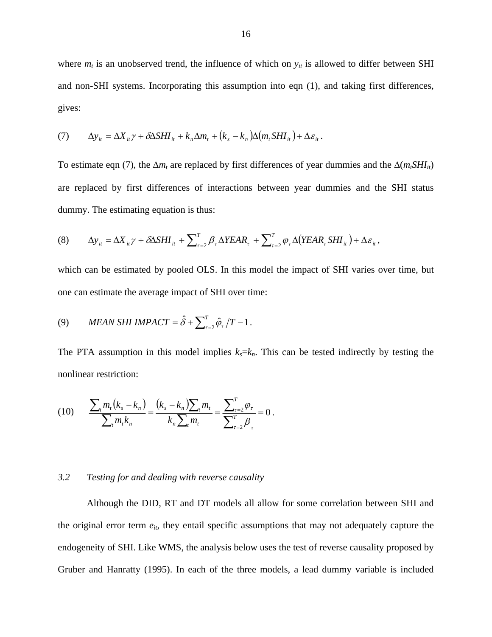where  $m_t$  is an unobserved trend, the influence of which on  $y_{it}$  is allowed to differ between SHI and non-SHI systems. Incorporating this assumption into eqn [\(1\)](#page-14-1), and taking first differences, gives:

<span id="page-17-0"></span>(7) 
$$
\Delta y_{it} = \Delta X_{it} \gamma + \delta \Delta S H I_{it} + k_n \Delta m_t + (k_s - k_n) \Delta (m_t S H I_{it}) + \Delta \varepsilon_{it}.
$$

To estimate eqn [\(7](#page-17-0)), the  $\Delta m_t$  are replaced by first differences of year dummies and the  $\Delta (m_t S H I_{it})$ are replaced by first differences of interactions between year dummies and the SHI status dummy. The estimating equation is thus:

<span id="page-17-1"></span>(8) 
$$
\Delta y_{it} = \Delta X_{it} \gamma + \delta \Delta S H I_{it} + \sum_{\tau=2}^{T} \beta_{\tau} \Delta Y E A R_{\tau} + \sum_{\tau=2}^{T} \varphi_{\tau} \Delta (Y E A R_{\tau} S H I_{it}) + \Delta \varepsilon_{it},
$$

which can be estimated by pooled OLS. In this model the impact of SHI varies over time, but one can estimate the average impact of SHI over time:

(9) *MEAN SHI IMPACT* = 
$$
\hat{\delta}
$$
 +  $\sum_{\tau=2}^{T} \hat{\varphi}_{\tau} / T - 1$ .

The PTA assumption in this model implies  $k_s = k_n$ . This can be tested indirectly by testing the nonlinear restriction:

<span id="page-17-2"></span>(10) 
$$
\frac{\sum_{t} m_{t}(k_{s} - k_{n})}{\sum_{t} m_{t} k_{n}} = \frac{(k_{s} - k_{n})\sum_{t} m_{t}}{k_{n} \sum_{t} m_{t}} = \frac{\sum_{\tau=2}^{T} \varphi_{\tau}}{\sum_{\tau=2}^{T} \beta_{\tau}} = 0.
$$

#### *3.2 Testing for and dealing with reverse causality*

Although the DID, RT and DT models all allow for some correlation between SHI and the original error term  $e_{it}$ , they entail specific assumptions that may not adequately capture the endogeneity of SHI. Like WMS, the analysis below uses the test of reverse causality proposed by Gruber and Hanratty (1995). In each of the three models, a lead dummy variable is included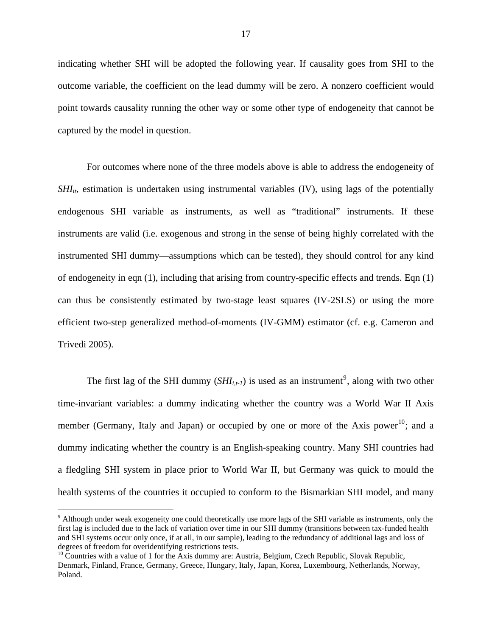<span id="page-18-0"></span>indicating whether SHI will be adopted the following year. If causality goes from SHI to the outcome variable, the coefficient on the lead dummy will be zero. A nonzero coefficient would point towards causality running the other way or some other type of endogeneity that cannot be captured by the model in question.

For outcomes where none of the three models above is able to address the endogeneity of *SHI<sub>it</sub>*, estimation is undertaken using instrumental variables (IV), using lags of the potentially endogenous SHI variable as instruments, as well as "traditional" instruments. If these instruments are valid (i.e. exogenous and strong in the sense of being highly correlated with the instrumented SHI dummy—assumptions which can be tested), they should control for any kind of endogeneity in eqn [\(1\)](#page-14-1), including that arising from country-specific effects and trends. Eqn [\(1\)](#page-14-1) can thus be consistently estimated by two-stage least squares (IV-2SLS) or using the more efficient two-step generalized method-of-moments (IV-GMM) estimator (cf. e.g. Cameron and Trivedi 2005).

The first lag of the SHI dummy  $(SHI_{i,t-1})$  is used as an instrument<sup>[9](#page-18-0)</sup>, along with two other time-invariant variables: a dummy indicating whether the country was a World War II Axis member (Germany, Italy and Japan) or occupied by one or more of the Axis power<sup>[10](#page-18-0)</sup>; and a dummy indicating whether the country is an English-speaking country. Many SHI countries had a fledgling SHI system in place prior to World War II, but Germany was quick to mould the health systems of the countries it occupied to conform to the Bismarkian SHI model, and many

 $\overline{a}$ 

<sup>&</sup>lt;sup>9</sup> Although under weak exogeneity one could theoretically use more lags of the SHI variable as instruments, only the first lag is included due to the lack of variation over time in our SHI dummy (transitions between tax-funded health and SHI systems occur only once, if at all, in our sample), leading to the redundancy of additional lags and loss of degrees of freedom for overidentifying restrictions tests.

<sup>&</sup>lt;sup>10</sup> Countries with a value of 1 for the Axis dummy are: Austria, Belgium, Czech Republic, Slovak Republic, Denmark, Finland, France, Germany, Greece, Hungary, Italy, Japan, Korea, Luxembourg, Netherlands, Norway, Poland.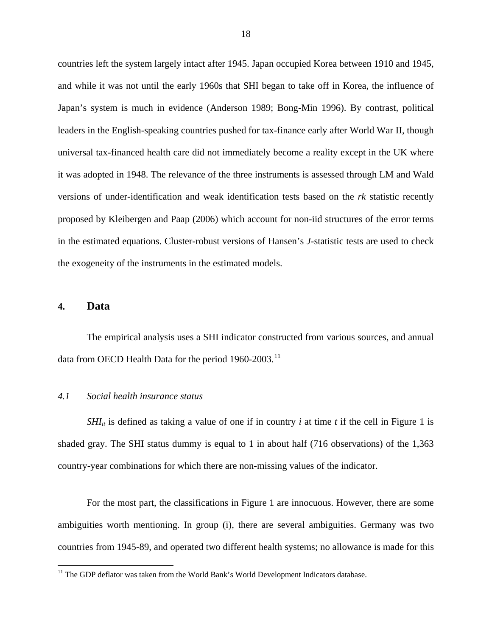<span id="page-19-1"></span>countries left the system largely intact after 1945. Japan occupied Korea between 1910 and 1945, and while it was not until the early 1960s that SHI began to take off in Korea, the influence of Japan's system is much in evidence (Anderson 1989; Bong-Min 1996). By contrast, political leaders in the English-speaking countries pushed for tax-finance early after World War II, though universal tax-financed health care did not immediately become a reality except in the UK where it was adopted in 1948. The relevance of the three instruments is assessed through LM and Wald versions of under-identification and weak identification tests based on the *rk* statistic recently proposed by Kleibergen and Paap (2006) which account for non-iid structures of the error terms in the estimated equations. Cluster-robust versions of Hansen's *J*-statistic tests are used to check the exogeneity of the instruments in the estimated models.

#### <span id="page-19-0"></span>**4. Data**

<u>.</u>

The empirical analysis uses a SHI indicator constructed from various sources, and annual data from OECD Health Data for the period 1960-2003.<sup>[11](#page-19-1)</sup>

#### *4.1 Social health insurance status*

*SHI<sub>it</sub>* is defined as taking a value of one if in country *i* at time *t* if the cell in [Figure 1](#page-31-0) is shaded gray. The SHI status dummy is equal to 1 in about half (716 observations) of the 1,363 country-year combinations for which there are non-missing values of the indicator.

For the most part, the classifications in [Figure 1](#page-31-0) are innocuous. However, there are some ambiguities worth mentioning. In group (i), there are several ambiguities. Germany was two countries from 1945-89, and operated two different health systems; no allowance is made for this

 $11$  The GDP deflator was taken from the World Bank's World Development Indicators database.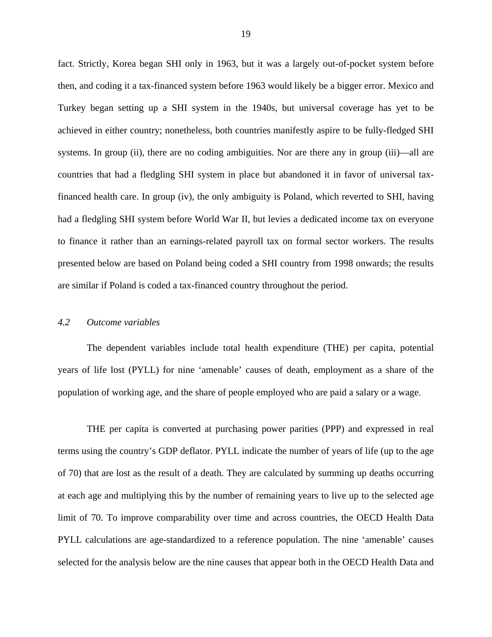fact. Strictly, Korea began SHI only in 1963, but it was a largely out-of-pocket system before then, and coding it a tax-financed system before 1963 would likely be a bigger error. Mexico and Turkey began setting up a SHI system in the 1940s, but universal coverage has yet to be achieved in either country; nonetheless, both countries manifestly aspire to be fully-fledged SHI systems. In group (ii), there are no coding ambiguities. Nor are there any in group (iii)—all are countries that had a fledgling SHI system in place but abandoned it in favor of universal taxfinanced health care. In group (iv), the only ambiguity is Poland, which reverted to SHI, having had a fledgling SHI system before World War II, but levies a dedicated income tax on everyone to finance it rather than an earnings-related payroll tax on formal sector workers. The results presented below are based on Poland being coded a SHI country from 1998 onwards; the results are similar if Poland is coded a tax-financed country throughout the period.

#### *4.2 Outcome variables*

The dependent variables include total health expenditure (THE) per capita, potential years of life lost (PYLL) for nine 'amenable' causes of death, employment as a share of the population of working age, and the share of people employed who are paid a salary or a wage.

THE per capita is converted at purchasing power parities (PPP) and expressed in real terms using the country's GDP deflator. PYLL indicate the number of years of life (up to the age of 70) that are lost as the result of a death. They are calculated by summing up deaths occurring at each age and multiplying this by the number of remaining years to live up to the selected age limit of 70. To improve comparability over time and across countries, the OECD Health Data PYLL calculations are age-standardized to a reference population. The nine 'amenable' causes selected for the analysis below are the nine causes that appear both in the OECD Health Data and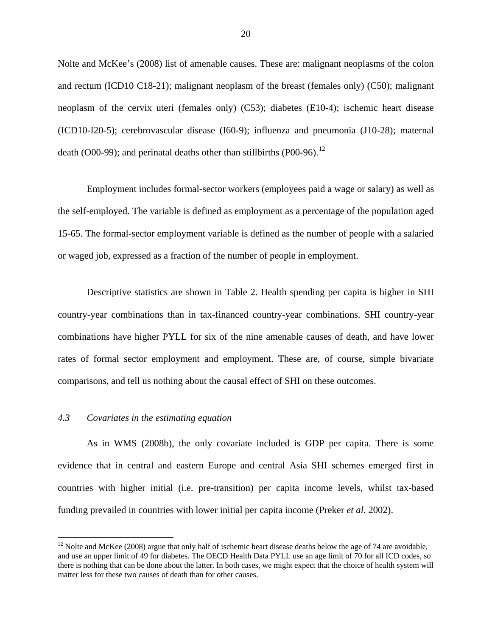<span id="page-21-0"></span>Nolte and McKee's (2008) list of amenable causes. These are: malignant neoplasms of the colon and rectum (ICD10 C18-21); malignant neoplasm of the breast (females only) (C50); malignant neoplasm of the cervix uteri (females only) (C53); diabetes (E10-4); ischemic heart disease (ICD10-I20-5); cerebrovascular disease (I60-9); influenza and pneumonia (J10-28); maternal death (O00-99); and perinatal deaths other than stillbirths (P00-96).<sup>[12](#page-21-0)</sup>

Employment includes formal-sector workers (employees paid a wage or salary) as well as the self-employed. The variable is defined as employment as a percentage of the population aged 15-65. The formal-sector employment variable is defined as the number of people with a salaried or waged job, expressed as a fraction of the number of people in employment.

Descriptive statistics are shown in [Table 2.](#page-33-0) Health spending per capita is higher in SHI country-year combinations than in tax-financed country-year combinations. SHI country-year combinations have higher PYLL for six of the nine amenable causes of death, and have lower rates of formal sector employment and employment. These are, of course, simple bivariate comparisons, and tell us nothing about the causal effect of SHI on these outcomes.

#### *4.3 Covariates in the estimating equation*

 $\overline{a}$ 

As in WMS (2008b), the only covariate included is GDP per capita. There is some evidence that in central and eastern Europe and central Asia SHI schemes emerged first in countries with higher initial (i.e. pre-transition) per capita income levels, whilst tax-based funding prevailed in countries with lower initial per capita income (Preker *et al.* 2002).

 $12$  Nolte and McKee (2008) argue that only half of ischemic heart disease deaths below the age of 74 are avoidable, and use an upper limit of 49 for diabetes. The OECD Health Data PYLL use an age limit of 70 for all ICD codes, so there is nothing that can be done about the latter. In both cases, we might expect that the choice of health system will matter less for these two causes of death than for other causes.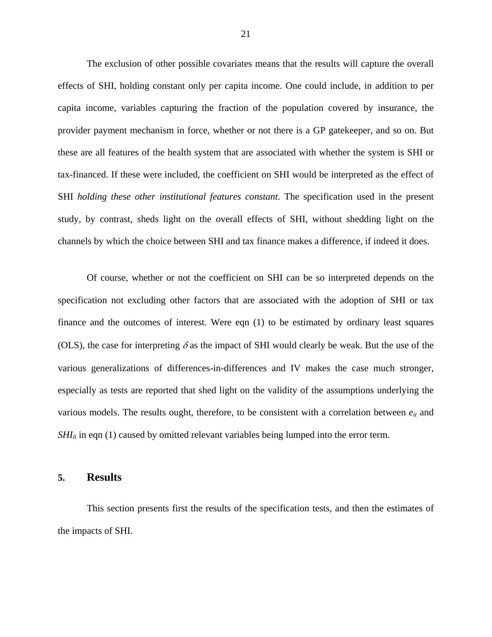The exclusion of other possible covariates means that the results will capture the overall effects of SHI, holding constant only per capita income. One could include, in addition to per capita income, variables capturing the fraction of the population covered by insurance, the provider payment mechanism in force, whether or not there is a GP gatekeeper, and so on. But these are all features of the health system that are associated with whether the system is SHI or tax-financed. If these were included, the coefficient on SHI would be interpreted as the effect of SHI *holding these other institutional features constant*. The specification used in the present study, by contrast, sheds light on the overall effects of SHI, without shedding light on the channels by which the choice between SHI and tax finance makes a difference, if indeed it does.

Of course, whether or not the coefficient on SHI can be so interpreted depends on the specification not excluding other factors that are associated with the adoption of SHI or tax finance and the outcomes of interest. Were eqn [\(1](#page-14-1)) to be estimated by ordinary least squares (OLS), the case for interpreting  $\delta$  as the impact of SHI would clearly be weak. But the use of the various generalizations of differences-in-differences and IV makes the case much stronger, especially as tests are reported that shed light on the validity of the assumptions underlying the various models. The results ought, therefore, to be consistent with a correlation between  $e_{it}$  and *SHI<sub>it</sub>* in eqn [\(1\)](#page-14-1) caused by omitted relevant variables being lumped into the error term.

#### <span id="page-22-0"></span>**5. Results**

This section presents first the results of the specification tests, and then the estimates of the impacts of SHI.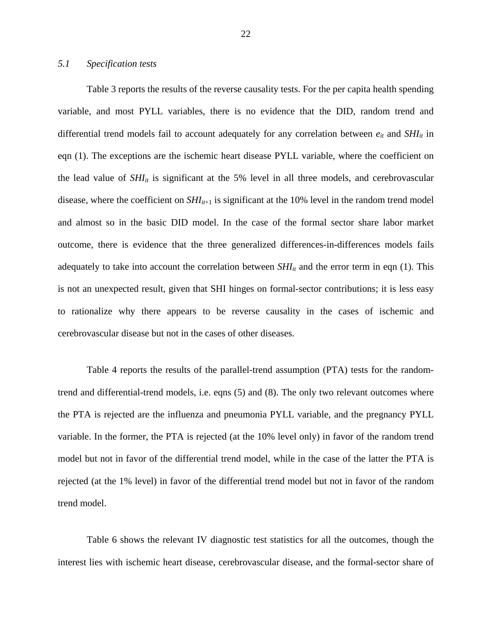#### *5.1 Specification tests*

[Table 3](#page-33-1) reports the results of the reverse causality tests. For the per capita health spending variable, and most PYLL variables, there is no evidence that the DID, random trend and differential trend models fail to account adequately for any correlation between  $e_{it}$  and  $SHI_{it}$  in eqn [\(1](#page-14-1)). The exceptions are the ischemic heart disease PYLL variable, where the coefficient on the lead value of  $SHI_{it}$  is significant at the 5% level in all three models, and cerebrovascular disease, where the coefficient on  $SHI_{it+1}$  is significant at the 10% level in the random trend model and almost so in the basic DID model. In the case of the formal sector share labor market outcome, there is evidence that the three generalized differences-in-differences models fails adequately to take into account the correlation between  $SHI_{it}$  and the error term in eqn (1). This is not an unexpected result, given that SHI hinges on formal-sector contributions; it is less easy to rationalize why there appears to be reverse causality in the cases of ischemic and cerebrovascular disease but not in the cases of other diseases.

[Table 4](#page-34-0) reports the results of the parallel-trend assumption (PTA) tests for the randomtrend and differential-trend models, i.e. eqns [\(5](#page-16-2)) and [\(8\)](#page-17-1). The only two relevant outcomes where the PTA is rejected are the influenza and pneumonia PYLL variable, and the pregnancy PYLL variable. In the former, the PTA is rejected (at the 10% level only) in favor of the random trend model but not in favor of the differential trend model, while in the case of the latter the PTA is rejected (at the 1% level) in favor of the differential trend model but not in favor of the random trend model.

[Table 6](#page-35-0) shows the relevant IV diagnostic test statistics for all the outcomes, though the interest lies with ischemic heart disease, cerebrovascular disease, and the formal-sector share of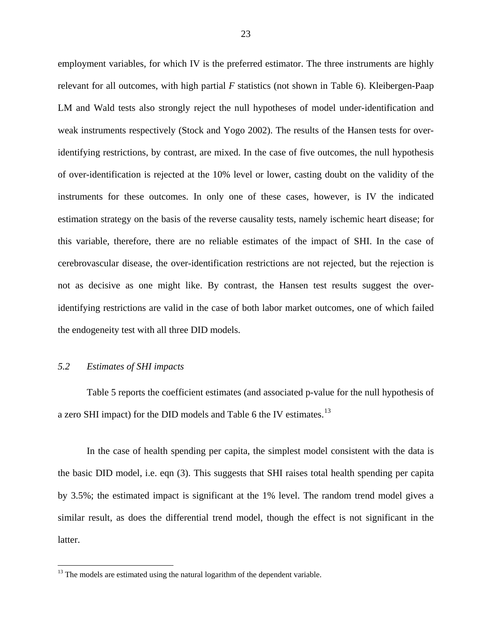<span id="page-24-0"></span>employment variables, for which IV is the preferred estimator. The three instruments are highly relevant for all outcomes, with high partial *F* statistics (not shown in [Table 6\)](#page-35-0). Kleibergen-Paap LM and Wald tests also strongly reject the null hypotheses of model under-identification and weak instruments respectively (Stock and Yogo 2002). The results of the Hansen tests for overidentifying restrictions, by contrast, are mixed. In the case of five outcomes, the null hypothesis of over-identification is rejected at the 10% level or lower, casting doubt on the validity of the instruments for these outcomes. In only one of these cases, however, is IV the indicated estimation strategy on the basis of the reverse causality tests, namely ischemic heart disease; for this variable, therefore, there are no reliable estimates of the impact of SHI. In the case of cerebrovascular disease, the over-identification restrictions are not rejected, but the rejection is not as decisive as one might like. By contrast, the Hansen test results suggest the overidentifying restrictions are valid in the case of both labor market outcomes, one of which failed the endogeneity test with all three DID models.

#### *5.2 Estimates of SHI impacts*

<u>.</u>

[Table 5](#page-34-1) reports the coefficient estimates (and associated p-value for the null hypothesis of a zero SHI impact) for the DID models and [Table 6](#page-35-0) the IV estimates.<sup>[13](#page-24-0)</sup>

In the case of health spending per capita, the simplest model consistent with the data is the basic DID model, i.e. eqn [\(3](#page-15-2)). This suggests that SHI raises total health spending per capita by 3.5%; the estimated impact is significant at the 1% level. The random trend model gives a similar result, as does the differential trend model, though the effect is not significant in the latter.

 $13$  The models are estimated using the natural logarithm of the dependent variable.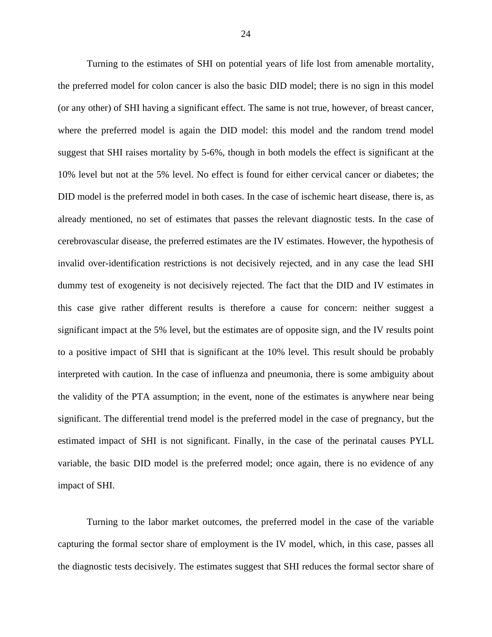Turning to the estimates of SHI on potential years of life lost from amenable mortality, the preferred model for colon cancer is also the basic DID model; there is no sign in this model (or any other) of SHI having a significant effect. The same is not true, however, of breast cancer, where the preferred model is again the DID model: this model and the random trend model suggest that SHI raises mortality by 5-6%, though in both models the effect is significant at the 10% level but not at the 5% level. No effect is found for either cervical cancer or diabetes; the DID model is the preferred model in both cases. In the case of ischemic heart disease, there is, as already mentioned, no set of estimates that passes the relevant diagnostic tests. In the case of cerebrovascular disease, the preferred estimates are the IV estimates. However, the hypothesis of invalid over-identification restrictions is not decisively rejected, and in any case the lead SHI dummy test of exogeneity is not decisively rejected. The fact that the DID and IV estimates in this case give rather different results is therefore a cause for concern: neither suggest a significant impact at the 5% level, but the estimates are of opposite sign, and the IV results point to a positive impact of SHI that is significant at the 10% level. This result should be probably interpreted with caution. In the case of influenza and pneumonia, there is some ambiguity about the validity of the PTA assumption; in the event, none of the estimates is anywhere near being significant. The differential trend model is the preferred model in the case of pregnancy, but the estimated impact of SHI is not significant. Finally, in the case of the perinatal causes PYLL variable, the basic DID model is the preferred model; once again, there is no evidence of any impact of SHI.

Turning to the labor market outcomes, the preferred model in the case of the variable capturing the formal sector share of employment is the IV model, which, in this case, passes all the diagnostic tests decisively. The estimates suggest that SHI reduces the formal sector share of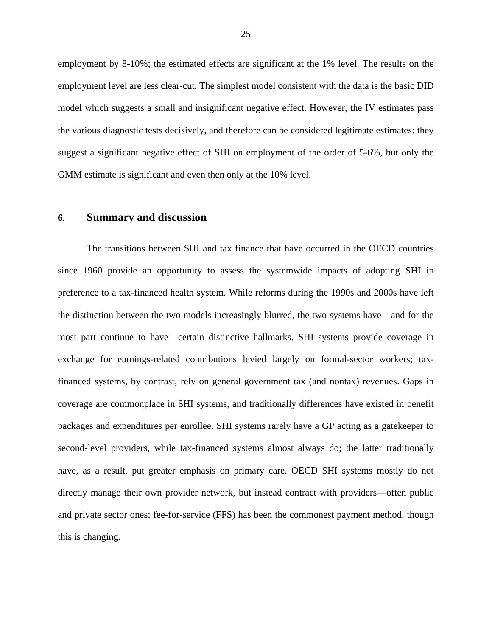employment by 8-10%; the estimated effects are significant at the 1% level. The results on the employment level are less clear-cut. The simplest model consistent with the data is the basic DID model which suggests a small and insignificant negative effect. However, the IV estimates pass the various diagnostic tests decisively, and therefore can be considered legitimate estimates: they suggest a significant negative effect of SHI on employment of the order of 5-6%, but only the GMM estimate is significant and even then only at the 10% level.

#### <span id="page-26-0"></span>**6. Summary and discussion**

The transitions between SHI and tax finance that have occurred in the OECD countries since 1960 provide an opportunity to assess the systemwide impacts of adopting SHI in preference to a tax-financed health system. While reforms during the 1990s and 2000s have left the distinction between the two models increasingly blurred, the two systems have—and for the most part continue to have—certain distinctive hallmarks. SHI systems provide coverage in exchange for earnings-related contributions levied largely on formal-sector workers; taxfinanced systems, by contrast, rely on general government tax (and nontax) revenues. Gaps in coverage are commonplace in SHI systems, and traditionally differences have existed in benefit packages and expenditures per enrollee. SHI systems rarely have a GP acting as a gatekeeper to second-level providers, while tax-financed systems almost always do; the latter traditionally have, as a result, put greater emphasis on primary care. OECD SHI systems mostly do not directly manage their own provider network, but instead contract with providers—often public and private sector ones; fee-for-service (FFS) has been the commonest payment method, though this is changing.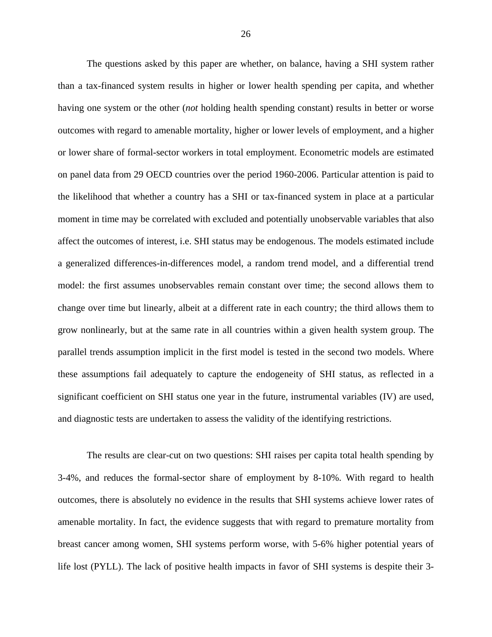The questions asked by this paper are whether, on balance, having a SHI system rather than a tax-financed system results in higher or lower health spending per capita, and whether having one system or the other (*not* holding health spending constant) results in better or worse outcomes with regard to amenable mortality, higher or lower levels of employment, and a higher or lower share of formal-sector workers in total employment. Econometric models are estimated on panel data from 29 OECD countries over the period 1960-2006. Particular attention is paid to the likelihood that whether a country has a SHI or tax-financed system in place at a particular moment in time may be correlated with excluded and potentially unobservable variables that also affect the outcomes of interest, i.e. SHI status may be endogenous. The models estimated include a generalized differences-in-differences model, a random trend model, and a differential trend model: the first assumes unobservables remain constant over time; the second allows them to change over time but linearly, albeit at a different rate in each country; the third allows them to grow nonlinearly, but at the same rate in all countries within a given health system group. The parallel trends assumption implicit in the first model is tested in the second two models. Where these assumptions fail adequately to capture the endogeneity of SHI status, as reflected in a significant coefficient on SHI status one year in the future, instrumental variables (IV) are used, and diagnostic tests are undertaken to assess the validity of the identifying restrictions.

The results are clear-cut on two questions: SHI raises per capita total health spending by 3-4%, and reduces the formal-sector share of employment by 8-10%. With regard to health outcomes, there is absolutely no evidence in the results that SHI systems achieve lower rates of amenable mortality. In fact, the evidence suggests that with regard to premature mortality from breast cancer among women, SHI systems perform worse, with 5-6% higher potential years of life lost (PYLL). The lack of positive health impacts in favor of SHI systems is despite their 3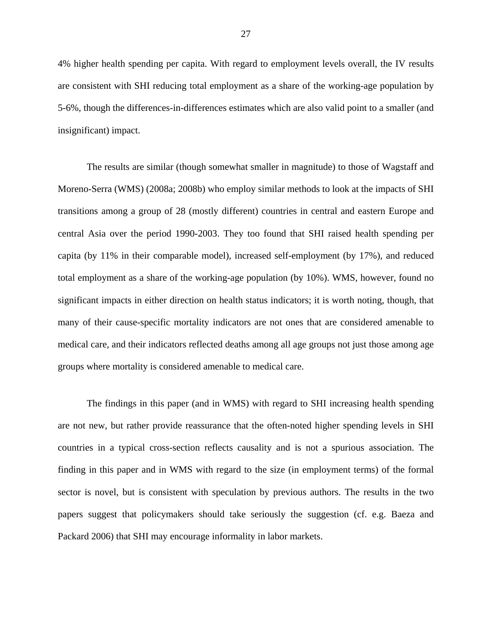4% higher health spending per capita. With regard to employment levels overall, the IV results are consistent with SHI reducing total employment as a share of the working-age population by 5-6%, though the differences-in-differences estimates which are also valid point to a smaller (and insignificant) impact.

The results are similar (though somewhat smaller in magnitude) to those of Wagstaff and Moreno-Serra (WMS) (2008a; 2008b) who employ similar methods to look at the impacts of SHI transitions among a group of 28 (mostly different) countries in central and eastern Europe and central Asia over the period 1990-2003. They too found that SHI raised health spending per capita (by 11% in their comparable model), increased self-employment (by 17%), and reduced total employment as a share of the working-age population (by 10%). WMS, however, found no significant impacts in either direction on health status indicators; it is worth noting, though, that many of their cause-specific mortality indicators are not ones that are considered amenable to medical care, and their indicators reflected deaths among all age groups not just those among age groups where mortality is considered amenable to medical care.

The findings in this paper (and in WMS) with regard to SHI increasing health spending are not new, but rather provide reassurance that the often-noted higher spending levels in SHI countries in a typical cross-section reflects causality and is not a spurious association. The finding in this paper and in WMS with regard to the size (in employment terms) of the formal sector is novel, but is consistent with speculation by previous authors. The results in the two papers suggest that policymakers should take seriously the suggestion (cf. e.g. Baeza and Packard 2006) that SHI may encourage informality in labor markets.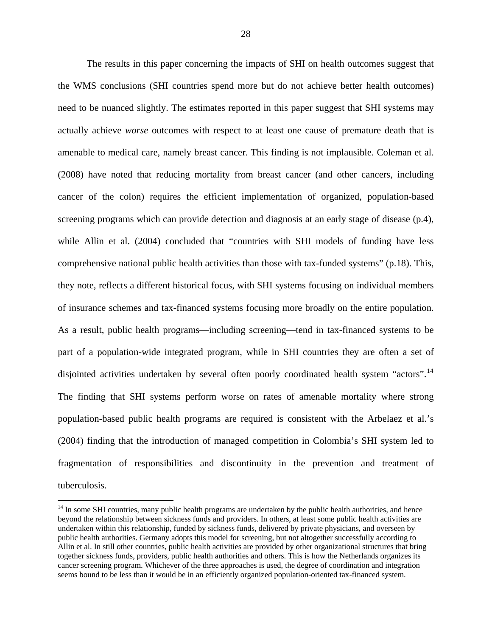<span id="page-29-0"></span>The results in this paper concerning the impacts of SHI on health outcomes suggest that the WMS conclusions (SHI countries spend more but do not achieve better health outcomes) need to be nuanced slightly. The estimates reported in this paper suggest that SHI systems may actually achieve *worse* outcomes with respect to at least one cause of premature death that is amenable to medical care, namely breast cancer. This finding is not implausible. Coleman et al. (2008) have noted that reducing mortality from breast cancer (and other cancers, including cancer of the colon) requires the efficient implementation of organized, population-based screening programs which can provide detection and diagnosis at an early stage of disease (p.4), while Allin et al. (2004) concluded that "countries with SHI models of funding have less comprehensive national public health activities than those with tax-funded systems" (p.18). This, they note, reflects a different historical focus, with SHI systems focusing on individual members of insurance schemes and tax-financed systems focusing more broadly on the entire population. As a result, public health programs—including screening—tend in tax-financed systems to be part of a population-wide integrated program, while in SHI countries they are often a set of disjointed activities undertaken by several often poorly coordinated health system "actors".<sup>[14](#page-29-0)</sup> The finding that SHI systems perform worse on rates of amenable mortality where strong population-based public health programs are required is consistent with the Arbelaez et al.'s (2004) finding that the introduction of managed competition in Colombia's SHI system led to fragmentation of responsibilities and discontinuity in the prevention and treatment of tuberculosis.

<sup>&</sup>lt;sup>14</sup> In some SHI countries, many public health programs are undertaken by the public health authorities, and hence beyond the relationship between sickness funds and providers. In others, at least some public health activities are undertaken within this relationship, funded by sickness funds, delivered by private physicians, and overseen by public health authorities. Germany adopts this model for screening, but not altogether successfully according to Allin et al. In still other countries, public health activities are provided by other organizational structures that bring together sickness funds, providers, public health authorities and others. This is how the Netherlands organizes its cancer screening program. Whichever of the three approaches is used, the degree of coordination and integration seems bound to be less than it would be in an efficiently organized population-oriented tax-financed system.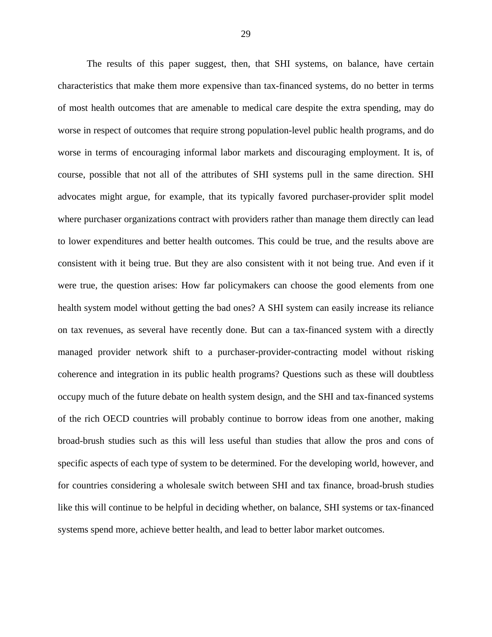The results of this paper suggest, then, that SHI systems, on balance, have certain characteristics that make them more expensive than tax-financed systems, do no better in terms of most health outcomes that are amenable to medical care despite the extra spending, may do worse in respect of outcomes that require strong population-level public health programs, and do worse in terms of encouraging informal labor markets and discouraging employment. It is, of course, possible that not all of the attributes of SHI systems pull in the same direction. SHI advocates might argue, for example, that its typically favored purchaser-provider split model where purchaser organizations contract with providers rather than manage them directly can lead to lower expenditures and better health outcomes. This could be true, and the results above are consistent with it being true. But they are also consistent with it not being true. And even if it were true, the question arises: How far policymakers can choose the good elements from one health system model without getting the bad ones? A SHI system can easily increase its reliance on tax revenues, as several have recently done. But can a tax-financed system with a directly managed provider network shift to a purchaser-provider-contracting model without risking coherence and integration in its public health programs? Questions such as these will doubtless occupy much of the future debate on health system design, and the SHI and tax-financed systems of the rich OECD countries will probably continue to borrow ideas from one another, making broad-brush studies such as this will less useful than studies that allow the pros and cons of specific aspects of each type of system to be determined. For the developing world, however, and for countries considering a wholesale switch between SHI and tax finance, broad-brush studies like this will continue to be helpful in deciding whether, on balance, SHI systems or tax-financed systems spend more, achieve better health, and lead to better labor market outcomes.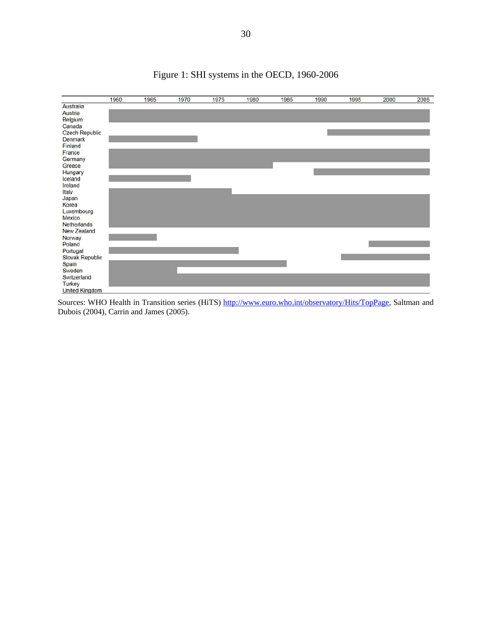<span id="page-31-0"></span>

# Figure 1: SHI systems in the OECD, 1960-2006

Sources: WHO Health in Transition series (HiTS) <http://www.euro.who.int/observatory/Hits/TopPage>, Saltman and Dubois (2004), Carrin and James (2005).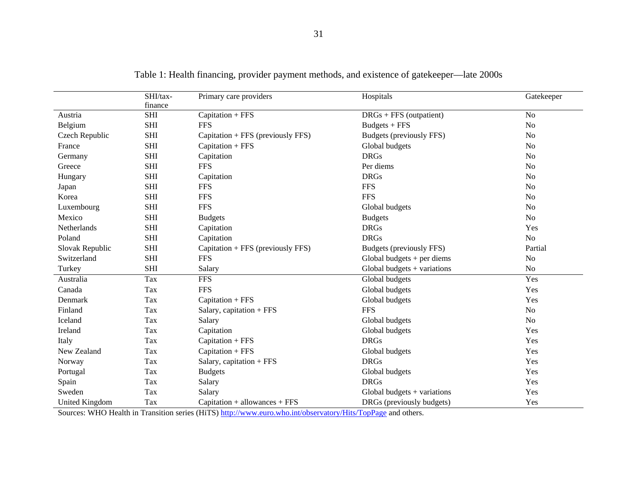|                 | SHI/tax-              | Primary care providers            | Hospitals                     | Gatekeeper     |
|-----------------|-----------------------|-----------------------------------|-------------------------------|----------------|
| Austria         | finance<br><b>SHI</b> | Capitation + FFS                  | $DRGs + FFS$ (outpatient)     | No             |
| Belgium         | <b>SHI</b>            | <b>FFS</b>                        | $Budgets + FFS$               | N <sub>o</sub> |
| Czech Republic  | <b>SHI</b>            | Capitation + FFS (previously FFS) | Budgets (previously FFS)      | N <sub>o</sub> |
| France          | <b>SHI</b>            | Capitation + FFS                  | Global budgets                | N <sub>0</sub> |
| Germany         | <b>SHI</b>            | Capitation                        | <b>DRGs</b>                   | N <sub>o</sub> |
| Greece          | <b>SHI</b>            | <b>FFS</b>                        | Per diems                     | N <sub>o</sub> |
| Hungary         | <b>SHI</b>            | Capitation                        | <b>DRGs</b>                   | N <sub>o</sub> |
| Japan           | <b>SHI</b>            | <b>FFS</b>                        | <b>FFS</b>                    | N <sub>o</sub> |
| Korea           | <b>SHI</b>            | <b>FFS</b>                        | <b>FFS</b>                    | <b>No</b>      |
| Luxembourg      | <b>SHI</b>            | <b>FFS</b>                        | Global budgets                | N <sub>o</sub> |
| Mexico          | <b>SHI</b>            | <b>Budgets</b>                    | <b>Budgets</b>                | N <sub>o</sub> |
| Netherlands     | <b>SHI</b>            | Capitation                        | <b>DRGs</b>                   | Yes            |
| Poland          | <b>SHI</b>            | Capitation                        | <b>DRGs</b>                   | N <sub>o</sub> |
| Slovak Republic | <b>SHI</b>            | Capitation + FFS (previously FFS) | Budgets (previously FFS)      | Partial        |
| Switzerland     | <b>SHI</b>            | <b>FFS</b>                        | Global budgets $+$ per diems  | N <sub>o</sub> |
| Turkey          | <b>SHI</b>            | Salary                            | Global budgets $+$ variations | N <sub>o</sub> |
| Australia       | Tax                   | <b>FFS</b>                        | Global budgets                | Yes            |
| Canada          | Tax                   | <b>FFS</b>                        | Global budgets                | Yes            |
|                 | Tax                   | Capitation + FFS                  |                               | Yes            |
| Denmark         |                       |                                   | Global budgets                |                |
| Finland         | Tax                   | Salary, capitation + FFS          | <b>FFS</b>                    | No             |
| Iceland         | Tax                   | Salary                            | Global budgets                | N <sub>o</sub> |
| Ireland         | Tax                   | Capitation                        | Global budgets                | Yes            |
| Italy           | Tax                   | Capitation + FFS                  | <b>DRGs</b>                   | Yes            |
| New Zealand     | Tax                   | Capitation + FFS                  | Global budgets                | Yes            |
| Norway          | Tax                   | Salary, capitation + FFS          | <b>DRGs</b>                   | Yes            |
| Portugal        | Tax                   | <b>Budgets</b>                    | Global budgets                | Yes            |
| Spain           | Tax                   | Salary                            | <b>DRGs</b>                   | Yes            |
| Sweden          | Tax                   | Salary                            | Global budgets $+$ variations | Yes            |
| United Kingdom  | Tax                   | $Capitation + allowances + FFS$   | DRGs (previously budgets)     | Yes            |

Table 1: Health financing, provider payment methods, and existence of gatekeeper—late 2000s

<span id="page-32-0"></span>Sources: WHO Health in Transition series (HiTS)<http://www.euro.who.int/observatory/Hits/TopPage>and others.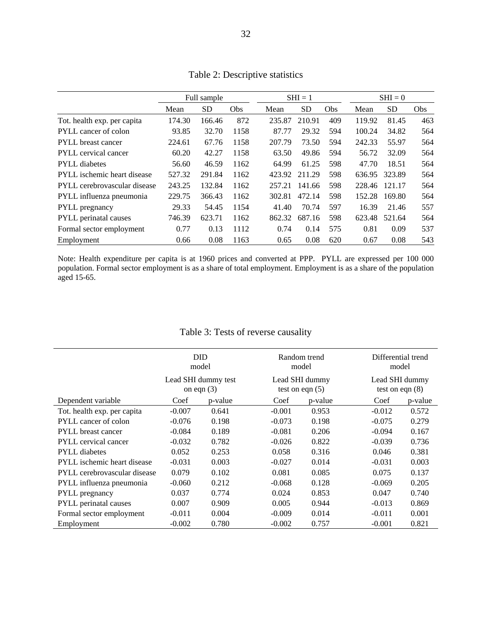<span id="page-33-0"></span>

|                              | Full sample |           |      |        | $SHI = 1$ |     |        | $SHI = 0$     |            |  |
|------------------------------|-------------|-----------|------|--------|-----------|-----|--------|---------------|------------|--|
|                              | Mean        | <b>SD</b> | Obs  | Mean   | <b>SD</b> | Obs | Mean   | <b>SD</b>     | <b>Obs</b> |  |
| Tot. health exp. per capita  | 174.30      | 166.46    | 872  | 235.87 | 210.91    | 409 | 119.92 | 81.45         | 463        |  |
| <b>PYLL</b> cancer of colon  | 93.85       | 32.70     | 1158 | 87.77  | 29.32     | 594 | 100.24 | 34.82         | 564        |  |
| <b>PYLL</b> breast cancer    | 224.61      | 67.76     | 1158 | 207.79 | 73.50     | 594 | 242.33 | 55.97         | 564        |  |
| <b>PYLL</b> cervical cancer  | 60.20       | 42.27     | 1158 | 63.50  | 49.86     | 594 | 56.72  | 32.09         | 564        |  |
| <b>PYLL</b> diabetes         | 56.60       | 46.59     | 1162 | 64.99  | 61.25     | 598 | 47.70  | 18.51         | 564        |  |
| PYLL ischemic heart disease  | 527.32      | 291.84    | 1162 | 423.92 | 211.29    | 598 | 636.95 | 323.89        | 564        |  |
| PYLL cerebrovascular disease | 243.25      | 132.84    | 1162 | 257.21 | 141.66    | 598 |        | 228.46 121.17 | 564        |  |
| PYLL influenza pneumonia     | 229.75      | 366.43    | 1162 | 302.81 | 472.14    | 598 | 152.28 | 169.80        | 564        |  |
| <b>PYLL</b> pregnancy        | 29.33       | 54.45     | 1154 | 41.40  | 70.74     | 597 | 16.39  | 21.46         | 557        |  |
| <b>PYLL</b> perinatal causes | 746.39      | 623.71    | 1162 | 862.32 | 687.16    | 598 | 623.48 | 521.64        | 564        |  |
| Formal sector employment     | 0.77        | 0.13      | 1112 | 0.74   | 0.14      | 575 | 0.81   | 0.09          | 537        |  |
| Employment                   | 0.66        | 0.08      | 1163 | 0.65   | 0.08      | 620 | 0.67   | 0.08          | 543        |  |

Table 2: Descriptive statistics

Note: Health expenditure per capita is at 1960 prices and converted at PPP. PYLL are expressed per 100 000 population. Formal sector employment is as a share of total employment. Employment is as a share of the population aged 15-65.

<span id="page-33-1"></span>

|                              | <b>DID</b><br>model                 |         |          | Random trend<br>model               | Differential trend<br>model         |         |  |
|------------------------------|-------------------------------------|---------|----------|-------------------------------------|-------------------------------------|---------|--|
|                              | Lead SHI dummy test<br>on eqn $(3)$ |         |          | Lead SHI dummy<br>test on eqn $(5)$ | Lead SHI dummy<br>test on eqn $(8)$ |         |  |
| Dependent variable           | Coef                                | p-value | Coef     | p-value                             | Coef                                | p-value |  |
| Tot. health exp. per capita  | $-0.007$                            | 0.641   | $-0.001$ | 0.953                               | $-0.012$                            | 0.572   |  |
| PYLL cancer of colon         | $-0.076$                            | 0.198   | $-0.073$ | 0.198                               | $-0.075$                            | 0.279   |  |
| <b>PYLL</b> breast cancer    | $-0.084$                            | 0.189   | $-0.081$ | 0.206                               | $-0.094$                            | 0.167   |  |
| <b>PYLL</b> cervical cancer  | $-0.032$                            | 0.782   | $-0.026$ | 0.822                               | $-0.039$                            | 0.736   |  |
| <b>PYLL</b> diabetes         | 0.052                               | 0.253   | 0.058    | 0.316                               | 0.046                               | 0.381   |  |
| PYLL ischemic heart disease  | $-0.031$                            | 0.003   | $-0.027$ | 0.014                               | $-0.031$                            | 0.003   |  |
| PYLL cerebrovascular disease | 0.079                               | 0.102   | 0.081    | 0.085                               | 0.075                               | 0.137   |  |
| PYLL influenza pneumonia     | $-0.060$                            | 0.212   | $-0.068$ | 0.128                               | $-0.069$                            | 0.205   |  |
| PYLL pregnancy               | 0.037                               | 0.774   | 0.024    | 0.853                               | 0.047                               | 0.740   |  |
| <b>PYLL</b> perinatal causes | 0.007                               | 0.909   | 0.005    | 0.944                               | $-0.013$                            | 0.869   |  |
| Formal sector employment     | $-0.011$                            | 0.004   | $-0.009$ | 0.014                               | $-0.011$                            | 0.001   |  |
| Employment                   | $-0.002$                            | 0.780   | $-0.002$ | 0.757                               | $-0.001$                            | 0.821   |  |

# Table 3: Tests of reverse causality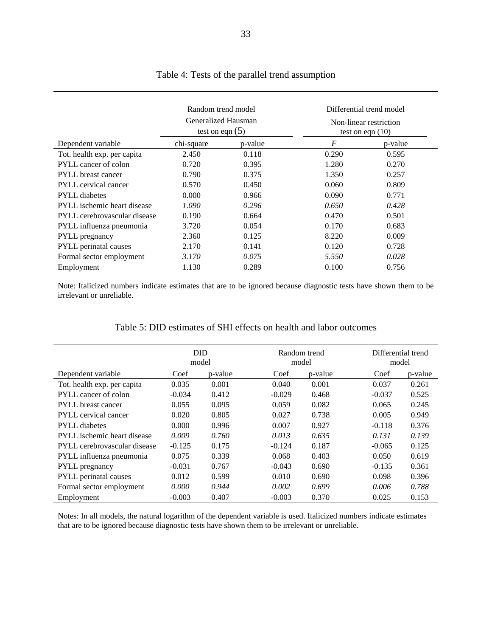<span id="page-34-0"></span>

|                              | Random trend model<br>Generalized Hausman<br>test on eqn $(5)$ |       | Differential trend model<br>Non-linear restriction<br>test on eqn $(10)$ |         |
|------------------------------|----------------------------------------------------------------|-------|--------------------------------------------------------------------------|---------|
| Dependent variable           | chi-square<br>p-value                                          |       | F                                                                        | p-value |
| Tot. health exp. per capita  | 2.450                                                          | 0.118 | 0.290                                                                    | 0.595   |
| PYLL cancer of colon         | 0.720                                                          | 0.395 | 1.280                                                                    | 0.270   |
| <b>PYLL</b> breast cancer    | 0.790                                                          | 0.375 | 1.350                                                                    | 0.257   |
| <b>PYLL</b> cervical cancer  | 0.570                                                          | 0.450 | 0.060                                                                    | 0.809   |
| <b>PYLL</b> diabetes         | 0.000                                                          | 0.966 | 0.090                                                                    | 0.771   |
| PYLL ischemic heart disease  | 1.090                                                          | 0.296 | 0.650                                                                    | 0.428   |
| PYLL cerebrovascular disease | 0.190                                                          | 0.664 | 0.470                                                                    | 0.501   |
| PYLL influenza pneumonia     | 3.720                                                          | 0.054 | 0.170                                                                    | 0.683   |
| <b>PYLL</b> pregnancy        | 2.360                                                          | 0.125 | 8.220                                                                    | 0.009   |
| <b>PYLL</b> perinatal causes | 2.170                                                          | 0.141 | 0.120                                                                    | 0.728   |
| Formal sector employment     | 3.170                                                          | 0.075 | 5.550                                                                    | 0.028   |
| Employment                   | 1.130                                                          | 0.289 | 0.100                                                                    | 0.756   |

# Table 4: Tests of the parallel trend assumption

Note: Italicized numbers indicate estimates that are to be ignored because diagnostic tests have shown them to be irrelevant or unreliable.

<span id="page-34-1"></span>

|                                    | <b>DID</b><br>model |         | model    | Random trend | Differential trend<br>model |         |  |
|------------------------------------|---------------------|---------|----------|--------------|-----------------------------|---------|--|
| Dependent variable                 | Coef                | p-value | Coef     | p-value      | Coef                        | p-value |  |
| Tot. health exp. per capita        | 0.035               | 0.001   | 0.040    | 0.001        | 0.037                       | 0.261   |  |
| PYLL cancer of colon               | $-0.034$            | 0.412   | $-0.029$ | 0.468        | $-0.037$                    | 0.525   |  |
| <b>PYLL</b> breast cancer          | 0.055               | 0.095   | 0.059    | 0.082        | 0.065                       | 0.245   |  |
| <b>PYLL</b> cervical cancer        | 0.020               | 0.805   | 0.027    | 0.738        | 0.005                       | 0.949   |  |
| <b>PYLL</b> diabetes               | 0.000               | 0.996   | 0.007    | 0.927        | $-0.118$                    | 0.376   |  |
| <b>PYLL</b> ischemic heart disease | 0.009               | 0.760   | 0.013    | 0.635        | 0.131                       | 0.139   |  |
| PYLL cerebrovascular disease       | $-0.125$            | 0.175   | $-0.124$ | 0.187        | $-0.065$                    | 0.125   |  |
| PYLL influenza pneumonia           | 0.075               | 0.339   | 0.068    | 0.403        | 0.050                       | 0.619   |  |
| <b>PYLL</b> pregnancy              | $-0.031$            | 0.767   | $-0.043$ | 0.690        | $-0.135$                    | 0.361   |  |
| PYLL perinatal causes              | 0.012               | 0.599   | 0.010    | 0.690        | 0.098                       | 0.396   |  |
| Formal sector employment           | 0.000               | 0.944   | 0.002    | 0.699        | 0.006                       | 0.788   |  |
| Employment                         | $-0.003$            | 0.407   | $-0.003$ | 0.370        | 0.025                       | 0.153   |  |

#### Table 5: DID estimates of SHI effects on health and labor outcomes

Notes: In all models, the natural logarithm of the dependent variable is used. Italicized numbers indicate estimates that are to be ignored because diagnostic tests have shown them to be irrelevant or unreliable.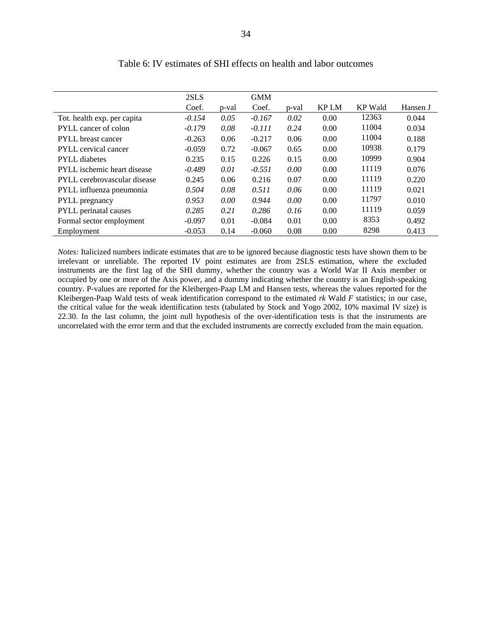<span id="page-35-0"></span>

|                              | 2SLS     |       | <b>GMM</b> |       |             |                |          |
|------------------------------|----------|-------|------------|-------|-------------|----------------|----------|
|                              | Coef.    | p-val | Coef.      | p-val | <b>KPLM</b> | <b>KP</b> Wald | Hansen J |
| Tot. health exp. per capita  | $-0.154$ | 0.05  | $-0.167$   | 0.02  | 0.00        | 12363          | 0.044    |
| PYLL cancer of colon         | $-0.179$ | 0.08  | $-0.111$   | 0.24  | 0.00        | 11004          | 0.034    |
| <b>PYLL</b> breast cancer    | $-0.263$ | 0.06  | $-0.217$   | 0.06  | 0.00        | 11004          | 0.188    |
| <b>PYLL</b> cervical cancer  | $-0.059$ | 0.72  | $-0.067$   | 0.65  | 0.00        | 10938          | 0.179    |
| <b>PYLL</b> diabetes         | 0.235    | 0.15  | 0.226      | 0.15  | 0.00        | 10999          | 0.904    |
| PYLL ischemic heart disease  | $-0.489$ | 0.01  | $-0.551$   | 0.00  | 0.00        | 11119          | 0.076    |
| PYLL cerebrovascular disease | 0.245    | 0.06  | 0.216      | 0.07  | 0.00        | 11119          | 0.220    |
| PYLL influenza pneumonia     | 0.504    | 0.08  | 0.511      | 0.06  | 0.00        | 11119          | 0.021    |
| <b>PYLL</b> pregnancy        | 0.953    | 0.00  | 0.944      | 0.00  | 0.00        | 11797          | 0.010    |
| PYLL perinatal causes        | 0.285    | 0.21  | 0.286      | 0.16  | 0.00        | 11119          | 0.059    |
| Formal sector employment     | $-0.097$ | 0.01  | $-0.084$   | 0.01  | 0.00        | 8353           | 0.492    |
| Employment                   | $-0.053$ | 0.14  | $-0.060$   | 0.08  | 0.00        | 8298           | 0.413    |

Table 6: IV estimates of SHI effects on health and labor outcomes

*Notes:* Italicized numbers indicate estimates that are to be ignored because diagnostic tests have shown them to be irrelevant or unreliable. The reported IV point estimates are from 2SLS estimation, where the excluded instruments are the first lag of the SHI dummy, whether the country was a World War II Axis member or occupied by one or more of the Axis power, and a dummy indicating whether the country is an English-speaking country. P-values are reported for the Kleibergen-Paap LM and Hansen tests, whereas the values reported for the Kleibergen-Paap Wald tests of weak identification correspond to the estimated *rk* Wald *F* statistics; in our case, the critical value for the weak identification tests (tabulated by Stock and Yogo 2002, 10% maximal IV size) is 22.30. In the last column, the joint null hypothesis of the over-identification tests is that the instruments are uncorrelated with the error term and that the excluded instruments are correctly excluded from the main equation.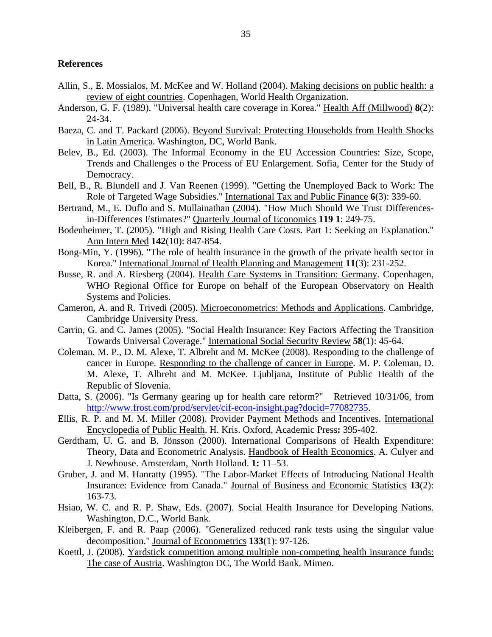#### **References**

- Allin, S., E. Mossialos, M. McKee and W. Holland (2004). Making decisions on public health: a review of eight countries. Copenhagen, World Health Organization.
- Anderson, G. F. (1989). "Universal health care coverage in Korea." Health Aff (Millwood) **8**(2): 24-34.
- Baeza, C. and T. Packard (2006). Beyond Survival: Protecting Households from Health Shocks in Latin America. Washington, DC, World Bank.
- Belev, B., Ed. (2003). The Informal Economy in the EU Accession Countries: Size, Scope, Trends and Challenges o the Process of EU Enlargement. Sofia, Center for the Study of Democracy.
- Bell, B., R. Blundell and J. Van Reenen (1999). "Getting the Unemployed Back to Work: The Role of Targeted Wage Subsidies." International Tax and Public Finance **6**(3): 339-60.
- Bertrand, M., E. Duflo and S. Mullainathan (2004). "How Much Should We Trust Differencesin-Differences Estimates?" Quarterly Journal of Economics **119 1**: 249-75.
- Bodenheimer, T. (2005). "High and Rising Health Care Costs. Part 1: Seeking an Explanation." Ann Intern Med **142**(10): 847-854.
- Bong-Min, Y. (1996). "The role of health insurance in the growth of the private health sector in Korea." International Journal of Health Planning and Management **11**(3): 231-252.
- Busse, R. and A. Riesberg (2004). Health Care Systems in Transition: Germany. Copenhagen, WHO Regional Office for Europe on behalf of the European Observatory on Health Systems and Policies.
- Cameron, A. and R. Trivedi (2005). Microeconometrics: Methods and Applications. Cambridge, Cambridge University Press.
- Carrin, G. and C. James (2005). "Social Health Insurance: Key Factors Affecting the Transition Towards Universal Coverage." International Social Security Review **58**(1): 45-64.
- Coleman, M. P., D. M. Alexe, T. Albreht and M. McKee (2008). Responding to the challenge of cancer in Europe. Responding to the challenge of cancer in Europe. M. P. Coleman, D. M. Alexe, T. Albreht and M. McKee. Ljubljana, Institute of Public Health of the Republic of Slovenia.
- Datta, S. (2006). "Is Germany gearing up for health care reform?" Retrieved 10/31/06, from <http://www.frost.com/prod/servlet/cif-econ-insight.pag?docid=77082735>.
- Ellis, R. P. and M. M. Miller (2008). Provider Payment Methods and Incentives. International Encyclopedia of Public Health. H. Kris. Oxford, Academic Press**:** 395-402.
- Gerdtham, U. G. and B. Jönsson (2000). International Comparisons of Health Expenditure: Theory, Data and Econometric Analysis. Handbook of Health Economics. A. Culyer and J. Newhouse. Amsterdam, North Holland. **1:** 11–53.
- Gruber, J. and M. Hanratty (1995). "The Labor-Market Effects of Introducing National Health Insurance: Evidence from Canada." Journal of Business and Economic Statistics **13**(2): 163-73.
- Hsiao, W. C. and R. P. Shaw, Eds. (2007). Social Health Insurance for Developing Nations. Washington, D.C., World Bank.
- Kleibergen, F. and R. Paap (2006). "Generalized reduced rank tests using the singular value decomposition." Journal of Econometrics **133**(1): 97-126.
- Koettl, J. (2008). Yardstick competition among multiple non-competing health insurance funds: The case of Austria. Washington DC, The World Bank. Mimeo.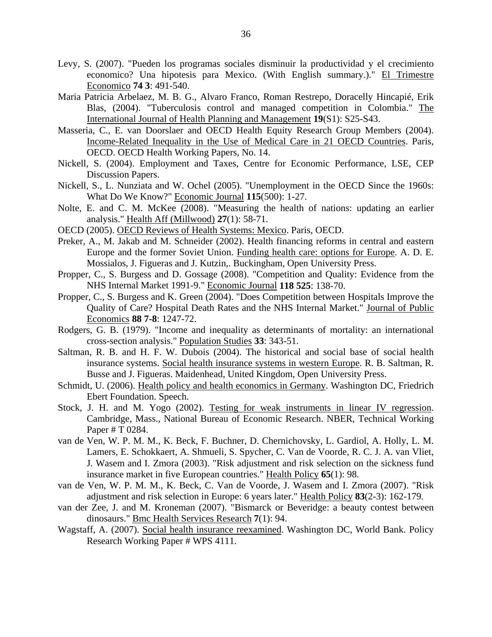- Levy, S. (2007). "Pueden los programas sociales disminuir la productividad y el crecimiento economico? Una hipotesis para Mexico. (With English summary.)." El Trimestre Economico **74 3**: 491-540.
- Maria Patricia Arbelaez, M. B. G., Alvaro Franco, Roman Restrepo, Doracelly Hincapié, Erik Blas, (2004). "Tuberculosis control and managed competition in Colombia." The International Journal of Health Planning and Management **19**(S1): S25-S43.
- Masseria, C., E. van Doorslaer and OECD Health Equity Research Group Members (2004). Income-Related Inequality in the Use of Medical Care in 21 OECD Countries. Paris, OECD. OECD Health Working Papers, No. 14.
- Nickell, S. (2004). Employment and Taxes, Centre for Economic Performance, LSE, CEP Discussion Papers.
- Nickell, S., L. Nunziata and W. Ochel (2005). "Unemployment in the OECD Since the 1960s: What Do We Know?" Economic Journal **115**(500): 1-27.
- Nolte, E. and C. M. McKee (2008). "Measuring the health of nations: updating an earlier analysis." Health Aff (Millwood) **27**(1): 58-71.
- OECD (2005). OECD Reviews of Health Systems: Mexico. Paris, OECD.
- Preker, A., M. Jakab and M. Schneider (2002). Health financing reforms in central and eastern Europe and the former Soviet Union. Funding health care: options for Europe. A. D. E. Mossialos, J. Figueras and J. Kutzin,. Buckingham, Open University Press.
- Propper, C., S. Burgess and D. Gossage (2008). "Competition and Quality: Evidence from the NHS Internal Market 1991-9." Economic Journal **118 525**: 138-70.
- Propper, C., S. Burgess and K. Green (2004). "Does Competition between Hospitals Improve the Quality of Care? Hospital Death Rates and the NHS Internal Market." Journal of Public Economics **88 7-8**: 1247-72.
- Rodgers, G. B. (1979). "Income and inequality as determinants of mortality: an international cross-section analysis." Population Studies **33**: 343-51.
- Saltman, R. B. and H. F. W. Dubois (2004). The historical and social base of social health insurance systems. Social health insurance systems in western Europe. R. B. Saltman, R. Busse and J. Figueras. Maidenhead, United Kingdom, Open University Press.
- Schmidt, U. (2006). Health policy and health economics in Germany. Washington DC, Friedrich Ebert Foundation. Speech.
- Stock, J. H. and M. Yogo (2002). Testing for weak instruments in linear IV regression. Cambridge, Mass., National Bureau of Economic Research. NBER, Technical Working Paper # T 0284.
- van de Ven, W. P. M. M., K. Beck, F. Buchner, D. Chernichovsky, L. Gardiol, A. Holly, L. M. Lamers, E. Schokkaert, A. Shmueli, S. Spycher, C. Van de Voorde, R. C. J. A. van Vliet, J. Wasem and I. Zmora (2003). "Risk adjustment and risk selection on the sickness fund insurance market in five European countries." Health Policy **65**(1): 98.
- van de Ven, W. P. M. M., K. Beck, C. Van de Voorde, J. Wasem and I. Zmora (2007). "Risk adjustment and risk selection in Europe: 6 years later." Health Policy **83**(2-3): 162-179.
- van der Zee, J. and M. Kroneman (2007). "Bismarck or Beveridge: a beauty contest between dinosaurs." Bmc Health Services Research **7**(1): 94.
- Wagstaff, A. (2007). Social health insurance reexamined. Washington DC, World Bank. Policy Research Working Paper # WPS 4111.